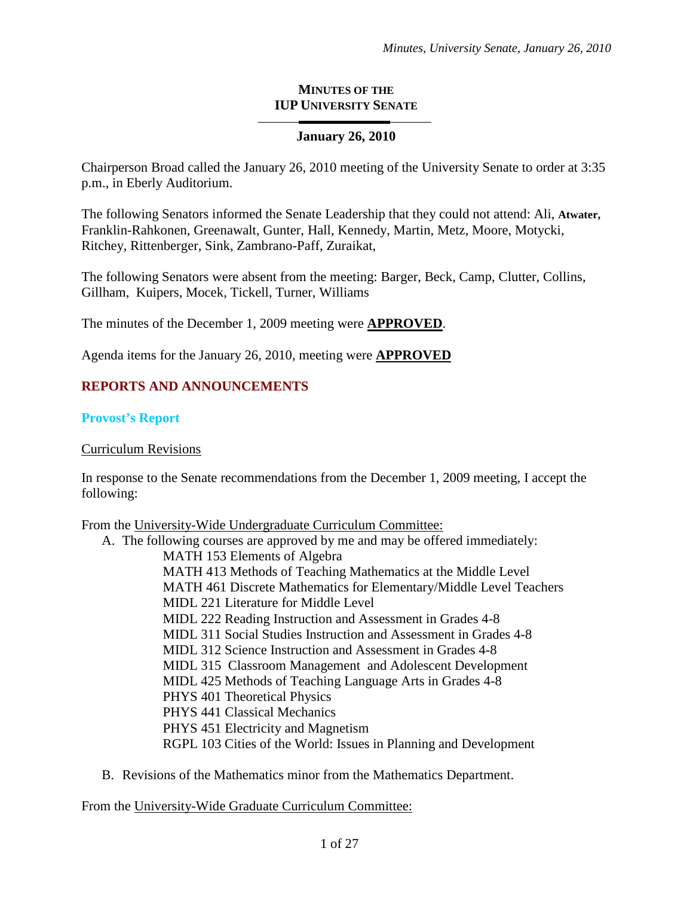#### **MINUTES OF THE IUP UNIVERSITY SENATE**

### **January 26, 2010**

Chairperson Broad called the January 26, 2010 meeting of the University Senate to order at 3:35 p.m., in Eberly Auditorium.

The following Senators informed the Senate Leadership that they could not attend: Ali, **Atwater,**  Franklin-Rahkonen, Greenawalt, Gunter, Hall, Kennedy, Martin, Metz, Moore, Motycki, Ritchey, Rittenberger, Sink, Zambrano-Paff, Zuraikat,

The following Senators were absent from the meeting: Barger, Beck, Camp, Clutter, Collins, Gillham, Kuipers, Mocek, Tickell, Turner, Williams

The minutes of the December 1, 2009 meeting were **APPROVED**.

Agenda items for the January 26, 2010, meeting were **APPROVED**

# **REPORTS AND ANNOUNCEMENTS**

#### **Provost's Report**

#### Curriculum Revisions

In response to the Senate recommendations from the December 1, 2009 meeting, I accept the following:

From the University-Wide Undergraduate Curriculum Committee:

- A. The following courses are approved by me and may be offered immediately: MATH 153 Elements of Algebra MATH 413 Methods of Teaching Mathematics at the Middle Level MATH 461 Discrete Mathematics for Elementary/Middle Level Teachers MIDL 221 Literature for Middle Level MIDL 222 Reading Instruction and Assessment in Grades 4-8 MIDL 311 Social Studies Instruction and Assessment in Grades 4-8 MIDL 312 Science Instruction and Assessment in Grades 4-8 MIDL 315 Classroom Management and Adolescent Development MIDL 425 Methods of Teaching Language Arts in Grades 4-8 PHYS 401 Theoretical Physics PHYS 441 Classical Mechanics PHYS 451 Electricity and Magnetism RGPL 103 Cities of the World: Issues in Planning and Development
- B. Revisions of the Mathematics minor from the Mathematics Department.

From the University-Wide Graduate Curriculum Committee: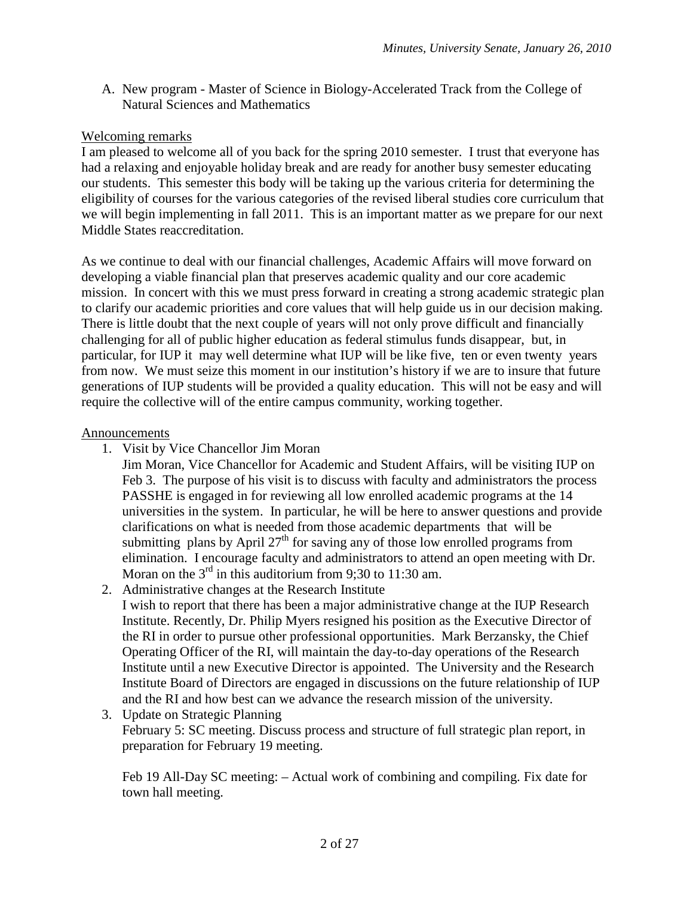A. New program - Master of Science in Biology-Accelerated Track from the College of Natural Sciences and Mathematics

## Welcoming remarks

I am pleased to welcome all of you back for the spring 2010 semester. I trust that everyone has had a relaxing and enjoyable holiday break and are ready for another busy semester educating our students. This semester this body will be taking up the various criteria for determining the eligibility of courses for the various categories of the revised liberal studies core curriculum that we will begin implementing in fall 2011. This is an important matter as we prepare for our next Middle States reaccreditation.

As we continue to deal with our financial challenges, Academic Affairs will move forward on developing a viable financial plan that preserves academic quality and our core academic mission. In concert with this we must press forward in creating a strong academic strategic plan to clarify our academic priorities and core values that will help guide us in our decision making. There is little doubt that the next couple of years will not only prove difficult and financially challenging for all of public higher education as federal stimulus funds disappear, but, in particular, for IUP it may well determine what IUP will be like five, ten or even twenty years from now. We must seize this moment in our institution's history if we are to insure that future generations of IUP students will be provided a quality education. This will not be easy and will require the collective will of the entire campus community, working together.

#### Announcements

- 1. Visit by Vice Chancellor Jim Moran
	- Jim Moran, Vice Chancellor for Academic and Student Affairs, will be visiting IUP on Feb 3. The purpose of his visit is to discuss with faculty and administrators the process PASSHE is engaged in for reviewing all low enrolled academic programs at the 14 universities in the system. In particular, he will be here to answer questions and provide clarifications on what is needed from those academic departments that will be submitting plans by April  $27<sup>th</sup>$  for saving any of those low enrolled programs from elimination. I encourage faculty and administrators to attend an open meeting with Dr. Moran on the  $3<sup>rd</sup>$  in this auditorium from 9;30 to 11:30 am.
- 2. Administrative changes at the Research Institute
	- I wish to report that there has been a major administrative change at the IUP Research Institute. Recently, Dr. Philip Myers resigned his position as the Executive Director of the RI in order to pursue other professional opportunities. Mark Berzansky, the Chief Operating Officer of the RI, will maintain the day-to-day operations of the Research Institute until a new Executive Director is appointed. The University and the Research Institute Board of Directors are engaged in discussions on the future relationship of IUP and the RI and how best can we advance the research mission of the university.
- 3. Update on Strategic Planning February 5: SC meeting. Discuss process and structure of full strategic plan report, in preparation for February 19 meeting.

Feb 19 All-Day SC meeting: – Actual work of combining and compiling. Fix date for town hall meeting.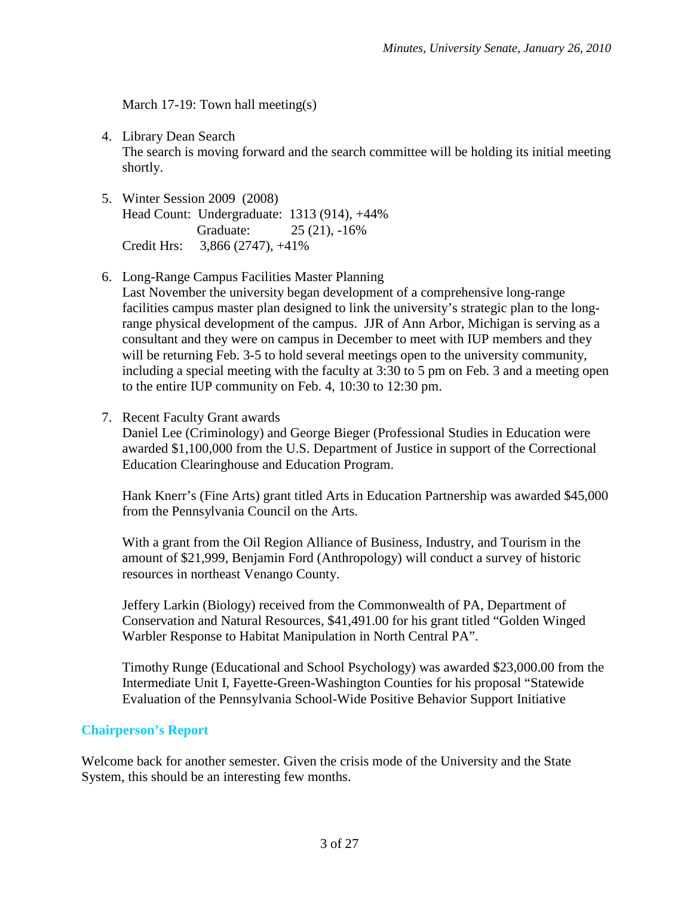March 17-19: Town hall meeting(s)

- 4. Library Dean Search The search is moving forward and the search committee will be holding its initial meeting shortly.
- 5. Winter Session 2009 (2008) Head Count: Undergraduate: 1313 (914), +44% Graduate: 25 (21), -16% Credit Hrs: 3,866 (2747), +41%
- 6. Long-Range Campus Facilities Master Planning

Last November the university began development of a comprehensive long-range facilities campus master plan designed to link the university's strategic plan to the longrange physical development of the campus. JJR of Ann Arbor, Michigan is serving as a consultant and they were on campus in December to meet with IUP members and they will be returning Feb. 3-5 to hold several meetings open to the university community, including a special meeting with the faculty at 3:30 to 5 pm on Feb. 3 and a meeting open to the entire IUP community on Feb. 4, 10:30 to 12:30 pm.

7. Recent Faculty Grant awards

Daniel Lee (Criminology) and George Bieger (Professional Studies in Education were awarded \$1,100,000 from the U.S. Department of Justice in support of the Correctional Education Clearinghouse and Education Program.

Hank Knerr's (Fine Arts) grant titled Arts in Education Partnership was awarded \$45,000 from the Pennsylvania Council on the Arts.

With a grant from the Oil Region Alliance of Business, Industry, and Tourism in the amount of \$21,999, Benjamin Ford (Anthropology) will conduct a survey of historic resources in northeast Venango County.

Jeffery Larkin (Biology) received from the Commonwealth of PA, Department of Conservation and Natural Resources, \$41,491.00 for his grant titled "Golden Winged Warbler Response to Habitat Manipulation in North Central PA".

Timothy Runge (Educational and School Psychology) was awarded \$23,000.00 from the Intermediate Unit I, Fayette-Green-Washington Counties for his proposal "Statewide Evaluation of the Pennsylvania School-Wide Positive Behavior Support Initiative

#### **Chairperson's Report**

Welcome back for another semester. Given the crisis mode of the University and the State System, this should be an interesting few months.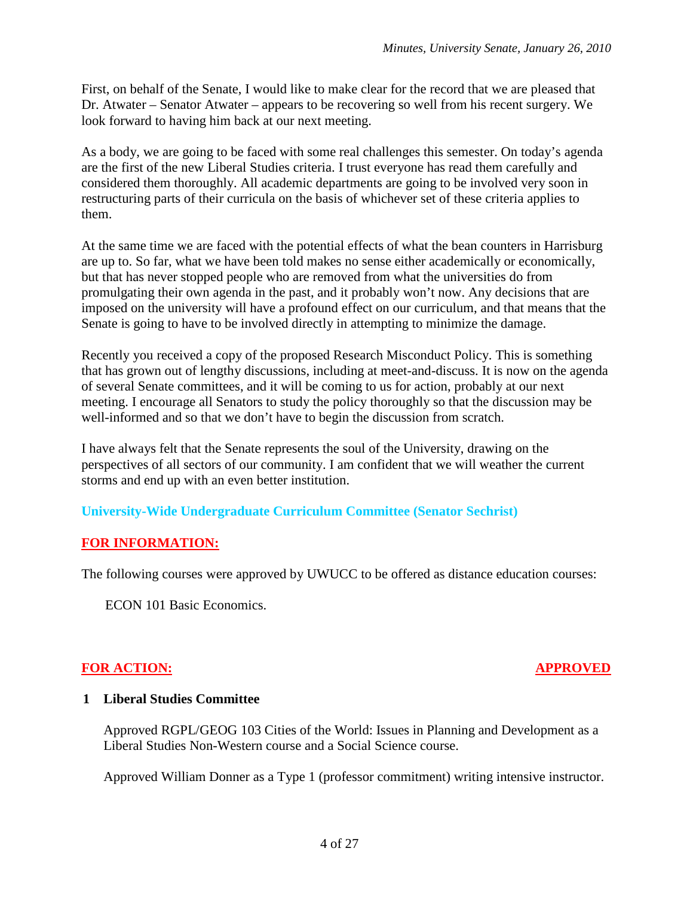First, on behalf of the Senate, I would like to make clear for the record that we are pleased that Dr. Atwater – Senator Atwater – appears to be recovering so well from his recent surgery. We look forward to having him back at our next meeting.

As a body, we are going to be faced with some real challenges this semester. On today's agenda are the first of the new Liberal Studies criteria. I trust everyone has read them carefully and considered them thoroughly. All academic departments are going to be involved very soon in restructuring parts of their curricula on the basis of whichever set of these criteria applies to them.

At the same time we are faced with the potential effects of what the bean counters in Harrisburg are up to. So far, what we have been told makes no sense either academically or economically, but that has never stopped people who are removed from what the universities do from promulgating their own agenda in the past, and it probably won't now. Any decisions that are imposed on the university will have a profound effect on our curriculum, and that means that the Senate is going to have to be involved directly in attempting to minimize the damage.

Recently you received a copy of the proposed Research Misconduct Policy. This is something that has grown out of lengthy discussions, including at meet-and-discuss. It is now on the agenda of several Senate committees, and it will be coming to us for action, probably at our next meeting. I encourage all Senators to study the policy thoroughly so that the discussion may be well-informed and so that we don't have to begin the discussion from scratch.

I have always felt that the Senate represents the soul of the University, drawing on the perspectives of all sectors of our community. I am confident that we will weather the current storms and end up with an even better institution.

#### **University-Wide Undergraduate Curriculum Committee (Senator Sechrist)**

#### **FOR INFORMATION:**

The following courses were approved by UWUCC to be offered as distance education courses:

ECON 101 Basic Economics.

#### **FOR ACTION: APPROVED**

#### **1 Liberal Studies Committee**

Approved RGPL/GEOG 103 Cities of the World: Issues in Planning and Development as a Liberal Studies Non-Western course and a Social Science course.

Approved William Donner as a Type 1 (professor commitment) writing intensive instructor.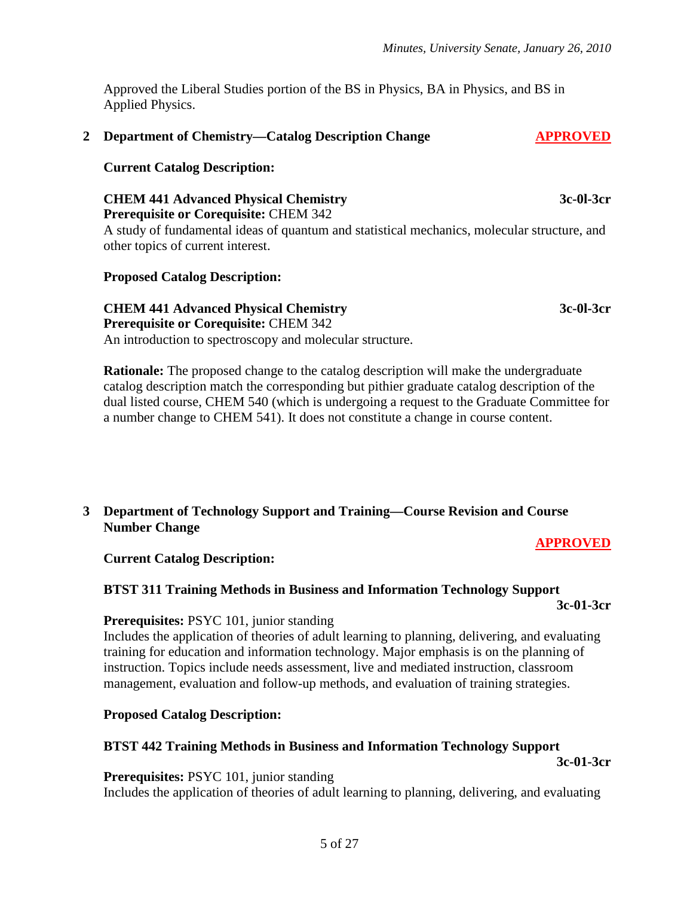Approved the Liberal Studies portion of the BS in Physics, BA in Physics, and BS in Applied Physics.

#### 2 **Department of Chemistry—Catalog Description Change APPROVED**

#### **Current Catalog Description:**

#### **CHEM 441 Advanced Physical Chemistry 3c-0l-3cr Prerequisite or Corequisite:** CHEM 342

A study of fundamental ideas of quantum and statistical mechanics, molecular structure, and other topics of current interest.

#### **Proposed Catalog Description:**

### **CHEM 441 Advanced Physical Chemistry 3c-0l-3cr**

**Prerequisite or Corequisite:** CHEM 342

An introduction to spectroscopy and molecular structure.

**Rationale:** The proposed change to the catalog description will make the undergraduate catalog description match the corresponding but pithier graduate catalog description of the dual listed course, CHEM 540 (which is undergoing a request to the Graduate Committee for a number change to CHEM 541). It does not constitute a change in course content.

#### **3 Department of Technology Support and Training—Course Revision and Course Number Change**

#### **APPROVED**

**Current Catalog Description:**

**BTST 311 Training Methods in Business and Information Technology Support 3c-01-3cr**

#### **Prerequisites:** PSYC 101, junior standing

Includes the application of theories of adult learning to planning, delivering, and evaluating training for education and information technology. Major emphasis is on the planning of instruction. Topics include needs assessment, live and mediated instruction, classroom management, evaluation and follow-up methods, and evaluation of training strategies.

#### **Proposed Catalog Description:**

#### **BTST 442 Training Methods in Business and Information Technology Support**

**3c-01-3cr**

**Prerequisites:** PSYC 101, junior standing

Includes the application of theories of adult learning to planning, delivering, and evaluating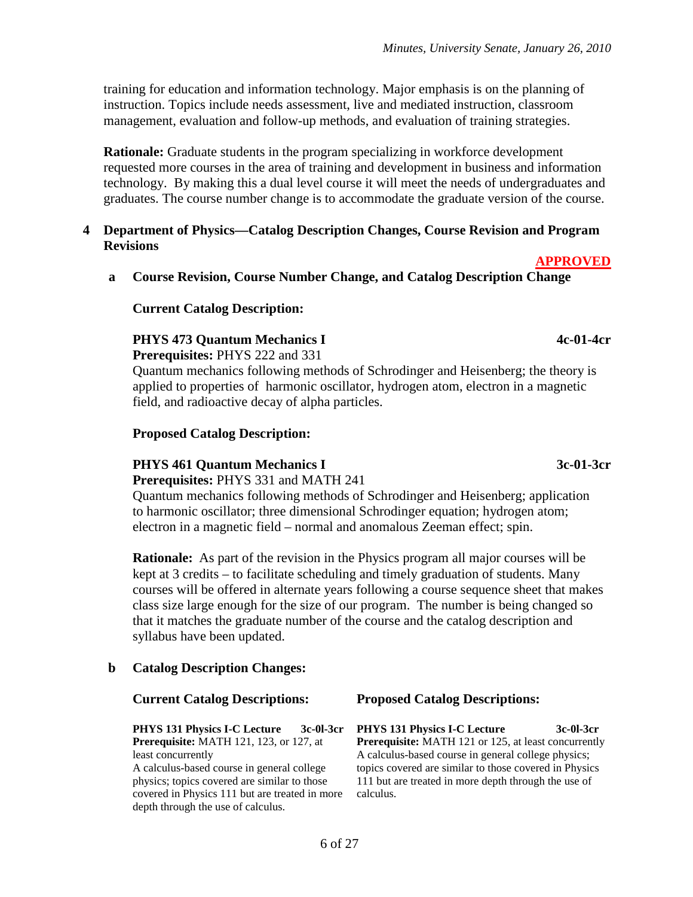training for education and information technology. Major emphasis is on the planning of instruction. Topics include needs assessment, live and mediated instruction, classroom management, evaluation and follow-up methods, and evaluation of training strategies.

**Rationale:** Graduate students in the program specializing in workforce development requested more courses in the area of training and development in business and information technology. By making this a dual level course it will meet the needs of undergraduates and graduates. The course number change is to accommodate the graduate version of the course.

#### **4 Department of Physics—Catalog Description Changes, Course Revision and Program Revisions**

**a Course Revision, Course Number Change, and Catalog Description Change**

#### **Current Catalog Description:**

#### **PHYS 473 Quantum Mechanics I 4c-01-4cr**

**Prerequisites:** PHYS 222 and 331

Quantum mechanics following methods of Schrodinger and Heisenberg; the theory is applied to properties of harmonic oscillator, hydrogen atom, electron in a magnetic field, and radioactive decay of alpha particles.

#### **Proposed Catalog Description:**

#### **PHYS 461 Quantum Mechanics I 3c-01-3cr**

**Prerequisites:** PHYS 331 and MATH 241

Quantum mechanics following methods of Schrodinger and Heisenberg; application to harmonic oscillator; three dimensional Schrodinger equation; hydrogen atom; electron in a magnetic field – normal and anomalous Zeeman effect; spin.

**Rationale:** As part of the revision in the Physics program all major courses will be kept at 3 credits – to facilitate scheduling and timely graduation of students. Many courses will be offered in alternate years following a course sequence sheet that makes class size large enough for the size of our program. The number is being changed so that it matches the graduate number of the course and the catalog description and syllabus have been updated.

#### **b Catalog Description Changes:**

**PHYS 131 Physics I-C Lecture 3c-0l-3cr Prerequisite:** MATH 121, 123, or 127, at least concurrently

A calculus-based course in general college physics; topics covered are similar to those covered in Physics 111 but are treated in more depth through the use of calculus.

**Current Catalog Descriptions: Proposed Catalog Descriptions:**

**PHYS 131 Physics I-C Lecture 3c-0l-3cr Prerequisite:** MATH 121 or 125, at least concurrently A calculus-based course in general college physics; topics covered are similar to those covered in Physics 111 but are treated in more depth through the use of calculus.

**APPROVED**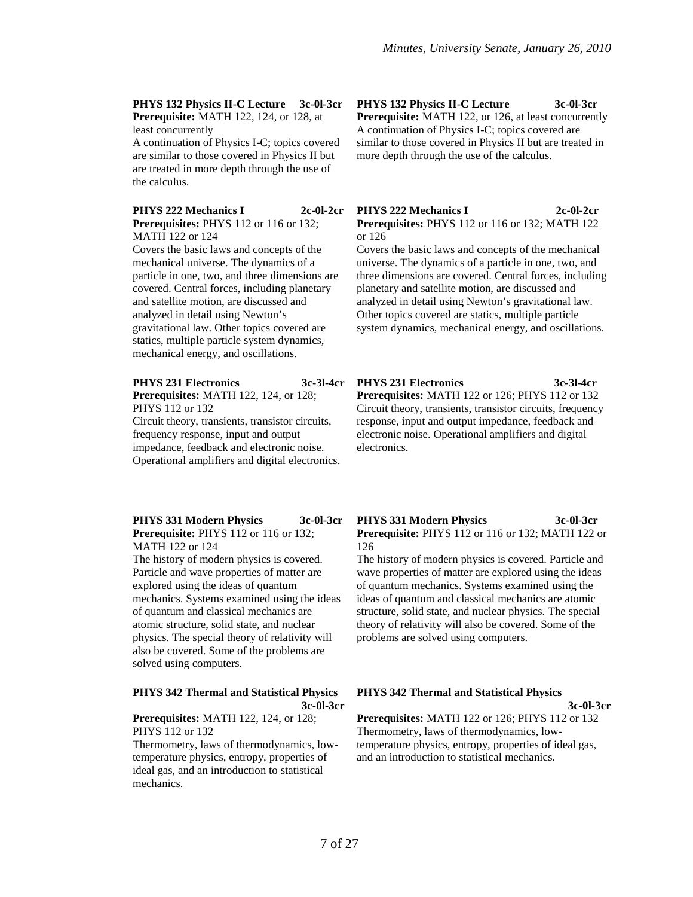**PHYS 132 Physics II-C Lecture 3c-0l-3cr Prerequisite:** MATH 122, 124, or 128, at least concurrently

A continuation of Physics I-C; topics covered are similar to those covered in Physics II but are treated in more depth through the use of the calculus.

**PHYS 222 Mechanics I Prerequisites:** PHYS 112 or 116 or 132; MATH 122 or 124

Covers the basic laws and concepts of the mechanical universe. The dynamics of a particle in one, two, and three dimensions are covered. Central forces, including planetary and satellite motion, are discussed and analyzed in detail using Newton's gravitational law. Other topics covered are statics, multiple particle system dynamics, mechanical energy, and oscillations.

#### **PHYS 231 Electronics 3c-3l-4cr**

**Prerequisites:** MATH 122, 124, or 128; PHYS 112 or 132

Circuit theory, transients, transistor circuits, frequency response, input and output impedance, feedback and electronic noise. Operational amplifiers and digital electronics.

**PHYS 331 Modern Physics 3c-0l-3cr Prerequisite:** PHYS 112 or 116 or 132; MATH 122 or 124

The history of modern physics is covered. Particle and wave properties of matter are explored using the ideas of quantum mechanics. Systems examined using the ideas of quantum and classical mechanics are atomic structure, solid state, and nuclear physics. The special theory of relativity will also be covered. Some of the problems are solved using computers.

#### **PHYS 342 Thermal and Statistical Physics 3c-0l-3cr**

**Prerequisites:** MATH 122, 124, or 128; PHYS 112 or 132

Thermometry, laws of thermodynamics, lowtemperature physics, entropy, properties of ideal gas, and an introduction to statistical mechanics.

**PHYS 132 Physics II-C Lecture 3c-0l-3cr Prerequisite:** MATH 122, or 126, at least concurrently A continuation of Physics I-C; topics covered are similar to those covered in Physics II but are treated in more depth through the use of the calculus.

#### **PHYS 222 Mechanics I 2c-0l-2cr Prerequisites:** PHYS 112 or 116 or 132; MATH 122 or 126

Covers the basic laws and concepts of the mechanical universe. The dynamics of a particle in one, two, and three dimensions are covered. Central forces, including planetary and satellite motion, are discussed and analyzed in detail using Newton's gravitational law. Other topics covered are statics, multiple particle system dynamics, mechanical energy, and oscillations.

# **PHYS 231 Electronics 3c-3l-4cr Prerequisites:** MATH 122 or 126; PHYS 112 or 132 Circuit theory, transients, transistor circuits, frequency

response, input and output impedance, feedback and electronic noise. Operational amplifiers and digital electronics.

#### **PHYS 331 Modern Physics 3c-0l-3cr Prerequisite:** PHYS 112 or 116 or 132; MATH 122 or 126

The history of modern physics is covered. Particle and wave properties of matter are explored using the ideas of quantum mechanics. Systems examined using the ideas of quantum and classical mechanics are atomic structure, solid state, and nuclear physics. The special theory of relativity will also be covered. Some of the problems are solved using computers.

#### **PHYS 342 Thermal and Statistical Physics**

**3c-0l-3cr**

**Prerequisites:** MATH 122 or 126; PHYS 112 or 132 Thermometry, laws of thermodynamics, lowtemperature physics, entropy, properties of ideal gas, and an introduction to statistical mechanics.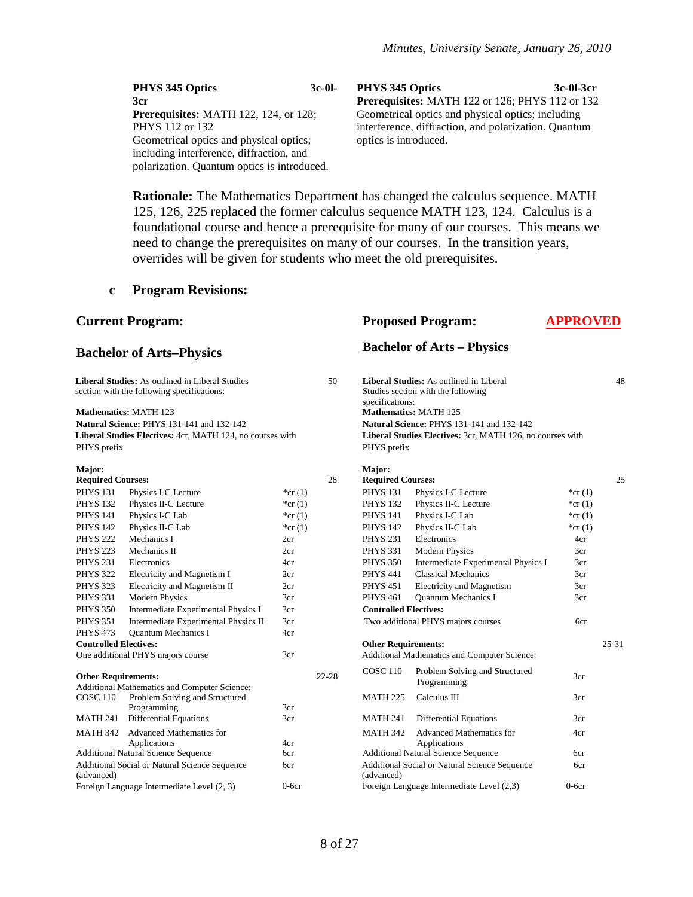| PHYS 345 Optics                              | $3c-0l-$ | PHYS 345 Optics                                      | 3c-01-3cr |
|----------------------------------------------|----------|------------------------------------------------------|-----------|
| 3cr                                          |          | Prerequisites: MATH 122 or 126; PHYS 112 or 132      |           |
| <b>Prerequisites:</b> MATH 122, 124, or 128; |          | Geometrical optics and physical optics; including    |           |
| PHYS 112 or 132                              |          | interference, diffraction, and polarization. Quantum |           |
| Geometrical optics and physical optics;      |          | optics is introduced.                                |           |
| including interference, diffraction, and     |          |                                                      |           |
| polarization. Quantum optics is introduced.  |          |                                                      |           |

**Rationale:** The Mathematics Department has changed the calculus sequence. MATH 125, 126, 225 replaced the former calculus sequence MATH 123, 124. Calculus is a foundational course and hence a prerequisite for many of our courses. This means we need to change the prerequisites on many of our courses. In the transition years, overrides will be given for students who meet the old prerequisites.

#### **c Program Revisions:**

(advanced)

|                                                                                               | <b>Current Program:</b>                                                   |            | <b>Proposed Program:</b> | <b>APPROVED</b>                                                                                  |                                                                           |            |           |  |  |
|-----------------------------------------------------------------------------------------------|---------------------------------------------------------------------------|------------|--------------------------|--------------------------------------------------------------------------------------------------|---------------------------------------------------------------------------|------------|-----------|--|--|
|                                                                                               | <b>Bachelor of Arts–Physics</b>                                           |            |                          | <b>Bachelor of Arts - Physics</b>                                                                |                                                                           |            |           |  |  |
| Liberal Studies: As outlined in Liberal Studies<br>section with the following specifications: |                                                                           |            | 50                       | Liberal Studies: As outlined in Liberal<br>Studies section with the following<br>specifications: |                                                                           |            |           |  |  |
|                                                                                               | <b>Mathematics: MATH 123</b><br>Natural Science: PHYS 131-141 and 132-142 |            |                          |                                                                                                  | <b>Mathematics: MATH 125</b><br>Natural Science: PHYS 131-141 and 132-142 |            |           |  |  |
|                                                                                               | Liberal Studies Electives: 4cr, MATH 124, no courses with                 |            |                          |                                                                                                  | Liberal Studies Electives: 3cr, MATH 126, no courses with                 |            |           |  |  |
| PHYS prefix                                                                                   |                                                                           |            |                          | PHYS prefix                                                                                      |                                                                           |            |           |  |  |
| Major:                                                                                        |                                                                           |            |                          | Major:                                                                                           |                                                                           |            |           |  |  |
| <b>Required Courses:</b>                                                                      |                                                                           |            | 28                       | <b>Required Courses:</b>                                                                         |                                                                           |            | 25        |  |  |
| <b>PHYS 131</b>                                                                               | Physics I-C Lecture                                                       | *cr $(1)$  |                          | <b>PHYS 131</b>                                                                                  | Physics I-C Lecture                                                       | * $cr(1)$  |           |  |  |
| <b>PHYS 132</b>                                                                               | Physics II-C Lecture                                                      | * $cr(1)$  |                          | <b>PHYS 132</b>                                                                                  | Physics II-C Lecture                                                      | * $cr(1)$  |           |  |  |
| <b>PHYS 141</b>                                                                               | Physics I-C Lab                                                           | * $cr(1)$  |                          | <b>PHYS 141</b>                                                                                  | Physics I-C Lab                                                           | * $cr(1)$  |           |  |  |
| <b>PHYS 142</b>                                                                               | Physics II-C Lab                                                          | * $cr(1)$  |                          | <b>PHYS 142</b>                                                                                  | Physics II-C Lab                                                          | * $cr(1)$  |           |  |  |
| <b>PHYS 222</b><br><b>PHYS 223</b>                                                            | Mechanics I<br>Mechanics II                                               | 2cr<br>2cr |                          | <b>PHYS 231</b><br><b>PHYS 331</b>                                                               | Electronics<br><b>Modern Physics</b>                                      | 4cr<br>3cr |           |  |  |
| <b>PHYS 231</b>                                                                               | Electronics                                                               | 4cr        |                          | <b>PHYS 350</b>                                                                                  | Intermediate Experimental Physics I                                       | 3cr        |           |  |  |
| <b>PHYS 322</b>                                                                               | Electricity and Magnetism I                                               | 2cr        |                          | <b>PHYS 441</b>                                                                                  | <b>Classical Mechanics</b>                                                | 3cr        |           |  |  |
| <b>PHYS 323</b>                                                                               | Electricity and Magnetism II                                              | 2cr        |                          | <b>PHYS 451</b>                                                                                  | <b>Electricity and Magnetism</b>                                          | 3cr        |           |  |  |
| <b>PHYS 331</b>                                                                               | <b>Modern Physics</b>                                                     | 3cr        |                          | <b>PHYS 461</b>                                                                                  | <b>Ouantum Mechanics I</b>                                                | 3cr        |           |  |  |
| <b>PHYS 350</b>                                                                               | Intermediate Experimental Physics I                                       | 3cr        |                          | <b>Controlled Electives:</b>                                                                     |                                                                           |            |           |  |  |
| <b>PHYS 351</b>                                                                               | Intermediate Experimental Physics II                                      | 3cr        |                          |                                                                                                  | Two additional PHYS majors courses                                        | 6cr        |           |  |  |
| <b>PHYS 473</b>                                                                               | <b>Ouantum Mechanics I</b>                                                | 4cr        |                          |                                                                                                  |                                                                           |            |           |  |  |
| <b>Controlled Electives:</b>                                                                  |                                                                           |            |                          | <b>Other Requirements:</b>                                                                       |                                                                           |            | $25 - 31$ |  |  |
|                                                                                               | One additional PHYS majors course                                         | 3cr        |                          |                                                                                                  | Additional Mathematics and Computer Science:                              |            |           |  |  |
| <b>Other Requirements:</b>                                                                    | Additional Mathematics and Computer Science:                              |            | $22 - 28$                | <b>COSC 110</b>                                                                                  | Problem Solving and Structured<br>Programming                             | 3cr        |           |  |  |
| <b>COSC 110</b>                                                                               | Problem Solving and Structured<br>Programming                             | 3cr        |                          | <b>MATH 225</b>                                                                                  | Calculus III                                                              | 3cr        |           |  |  |
| MATH 241                                                                                      | <b>Differential Equations</b>                                             | 3cr        |                          | <b>MATH 241</b>                                                                                  | Differential Equations                                                    | 3cr        |           |  |  |
|                                                                                               | MATH 342 Advanced Mathematics for<br>Applications                         | 4cr        |                          | <b>MATH 342</b>                                                                                  | <b>Advanced Mathematics for</b><br>Applications                           | 4cr        |           |  |  |
|                                                                                               | Additional Natural Science Sequence                                       | 6cr        |                          |                                                                                                  | Additional Natural Science Sequence                                       | 6cr        |           |  |  |
|                                                                                               | Additional Social or Natural Science Sequence                             | 6cr        |                          |                                                                                                  | Additional Social or Natural Science Sequence                             | 6cr        |           |  |  |

Foreign Language Intermediate Level (2, 3) 0-6cr Foreign Language Intermediate Level (2,3) 0-6cr

(advanced)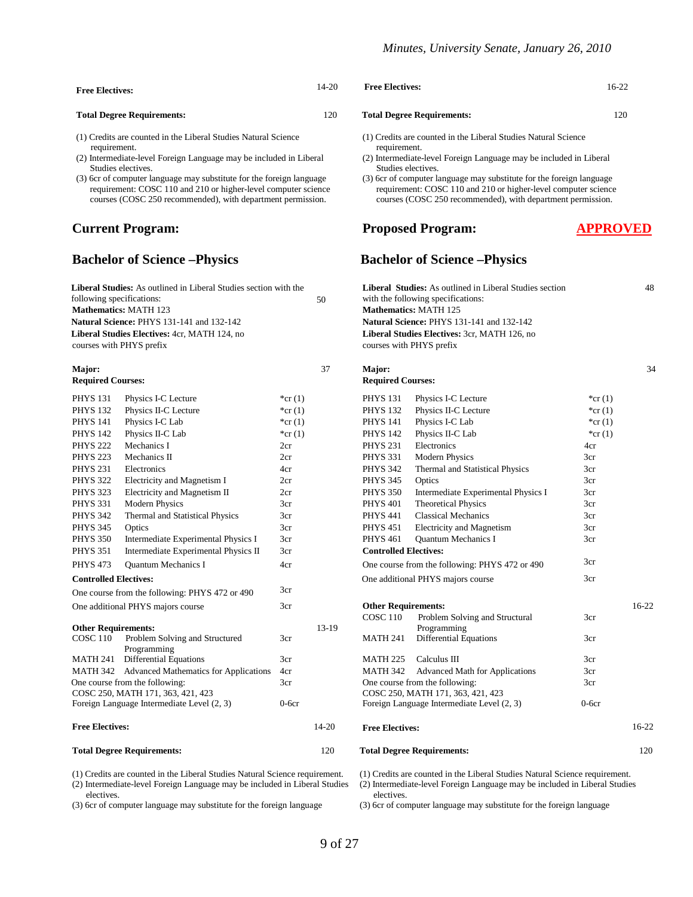| <b>Free Electives:</b>            | 14-20 |
|-----------------------------------|-------|
| <b>Total Degree Requirements:</b> | 120   |

- (1) Credits are counted in the Liberal Studies Natural Science requirement.
- (2) Intermediate-level Foreign Language may be included in Liberal Studies electives.
- (3) 6cr of computer language may substitute for the foreign language requirement: COSC 110 and 210 or higher-level computer science courses (COSC 250 recommended), with department permission.

#### **Current Program:**

#### **Bachelor of Science –Physics**

| PH Y S 251                   | <b>Electronics</b>                             | 4cr         |           | PH Y S 342                   | I nermal and Statistical Physics               | scr     |
|------------------------------|------------------------------------------------|-------------|-----------|------------------------------|------------------------------------------------|---------|
| <b>PHYS 322</b>              | Electricity and Magnetism I                    | 2cr         |           | <b>PHYS 345</b>              | Optics                                         | 3cr     |
| <b>PHYS 323</b>              | Electricity and Magnetism II                   | 2cr         |           | <b>PHYS 350</b>              | Intermediate Experimental Physics I            | 3cr     |
| <b>PHYS 331</b>              | <b>Modern Physics</b>                          | 3cr         |           | <b>PHYS 401</b>              | <b>Theoretical Physics</b>                     | 3cr     |
| <b>PHYS 342</b>              | Thermal and Statistical Physics                | 3cr         |           | <b>PHYS 441</b>              | <b>Classical Mechanics</b>                     | 3cr     |
| <b>PHYS 345</b>              | Optics                                         | 3cr         |           | <b>PHYS 451</b>              | <b>Electricity and Magnetism</b>               | 3cr     |
| <b>PHYS 350</b>              | Intermediate Experimental Physics I            | 3cr         |           | <b>PHYS 461</b>              | <b>Ouantum Mechanics I</b>                     | 3cr     |
| <b>PHYS 351</b>              | Intermediate Experimental Physics II           | 3cr         |           | <b>Controlled Electives:</b> |                                                |         |
| <b>PHYS 473</b>              | Quantum Mechanics I                            | 4cr         |           |                              | One course from the following: PHYS 472 or 490 | 3cr     |
| <b>Controlled Electives:</b> |                                                |             |           |                              | One additional PHYS majors course              | 3cr     |
|                              | One course from the following: PHYS 472 or 490 | 3cr         |           |                              |                                                |         |
|                              | One additional PHYS majors course              | 3cr         |           | <b>Other Requirements:</b>   |                                                |         |
|                              |                                                |             |           | COSC <sub>110</sub>          | Problem Solving and Structural                 | 3cr     |
| <b>Other Requirements:</b>   |                                                |             | 13-19     |                              | Programming                                    |         |
| <b>COSC 110</b>              | Problem Solving and Structured                 | 3cr         |           | <b>MATH 241</b>              | Differential Equations                         | 3cr     |
| MATH 241                     | Programming                                    | 3cr         |           | <b>MATH 225</b>              | Calculus III                                   | 3cr     |
|                              | Differential Equations                         |             |           |                              |                                                |         |
| MATH 342                     | <b>Advanced Mathematics for Applications</b>   | 4cr         |           | MATH 342                     | <b>Advanced Math for Applications</b>          | 3cr     |
|                              | One course from the following:                 | 3cr         |           |                              | One course from the following:                 | 3cr     |
|                              | COSC 250, MATH 171, 363, 421, 423              |             |           |                              | COSC 250, MATH 171, 363, 421, 423              |         |
|                              | Foreign Language Intermediate Level (2, 3)     | $0$ -6 $cr$ |           |                              | Foreign Language Intermediate Level (2, 3)     | $0-6cr$ |
| <b>Free Electives:</b>       |                                                |             | $14 - 20$ | <b>Free Electives:</b>       |                                                |         |

#### **Total Degree Requirements:** 120

(1) Credits are counted in the Liberal Studies Natural Science requirement.

(2) Intermediate-level Foreign Language may be included in Liberal Studies electives.

(3) 6cr of computer language may substitute for the foreign language

| <b>Free Electives:</b>                                                         | $14 - 20$                                                                      | <b>Free Electives:</b>                                             | $16-22$ |
|--------------------------------------------------------------------------------|--------------------------------------------------------------------------------|--------------------------------------------------------------------|---------|
| <b>Total Degree Requirements:</b>                                              | 120                                                                            | <b>Total Degree Requirements:</b>                                  | 120     |
| (1) Credits are counted in the Liberal Studies Natural Science<br>requirement. | (1) Credits are counted in the Liberal Studies Natural Science<br>requirement. |                                                                    |         |
| (2) Intermediate level Foreign I enguage may be included in Liberal            |                                                                                | (2) Intermodiate lavel Foreign Language may be included in Liberal |         |

- (2) Intermediate-level Foreign Language may be included in Liberal Studies electives.
- (3) 6cr of computer language may substitute for the foreign language requirement: COSC 110 and 210 or higher-level computer science courses (COSC 250 recommended), with department permission.

#### **Proposed Program:**

#### **APPROVED**

#### **Bachelor of Science –Physics**

| Liberal Studies: As outlined in Liberal Studies section with the<br>following specifications: |                                                |           | 50    | Liberal Studies: As outlined in Liberal Studies section<br>with the following specifications: |                                                |             |         |
|-----------------------------------------------------------------------------------------------|------------------------------------------------|-----------|-------|-----------------------------------------------------------------------------------------------|------------------------------------------------|-------------|---------|
| <b>Mathematics: MATH 123</b>                                                                  |                                                |           |       |                                                                                               | <b>Mathematics: MATH 125</b>                   |             |         |
|                                                                                               | Natural Science: PHYS 131-141 and 132-142      |           |       |                                                                                               | Natural Science: PHYS 131-141 and 132-142      |             |         |
|                                                                                               | Liberal Studies Electives: 4cr, MATH 124, no   |           |       |                                                                                               | Liberal Studies Electives: 3cr, MATH 126, no   |             |         |
|                                                                                               | courses with PHYS prefix                       |           |       |                                                                                               | courses with PHYS prefix                       |             |         |
| <b>Major:</b>                                                                                 |                                                |           | 37    | Major:                                                                                        |                                                |             | 34      |
| <b>Required Courses:</b>                                                                      |                                                |           |       | <b>Required Courses:</b>                                                                      |                                                |             |         |
| <b>PHYS 131</b>                                                                               | Physics I-C Lecture                            | * $cr(1)$ |       | <b>PHYS 131</b>                                                                               | Physics I-C Lecture                            | * $cr(1)$   |         |
| <b>PHYS 132</b>                                                                               | Physics II-C Lecture                           | * $cr(1)$ |       | <b>PHYS 132</b>                                                                               | Physics II-C Lecture                           | * $cr(1)$   |         |
| <b>PHYS 141</b>                                                                               | Physics I-C Lab                                | *cr $(1)$ |       | <b>PHYS 141</b>                                                                               | Physics I-C Lab                                | * $cr(1)$   |         |
| <b>PHYS 142</b>                                                                               | Physics II-C Lab                               | * $cr(1)$ |       | <b>PHYS 142</b>                                                                               | Physics II-C Lab                               | * $cr(1)$   |         |
| <b>PHYS 222</b>                                                                               | Mechanics I                                    | 2cr       |       | <b>PHYS 231</b>                                                                               | Electronics                                    | 4cr         |         |
| <b>PHYS 223</b>                                                                               | Mechanics II                                   | 2cr       |       | <b>PHYS 331</b>                                                                               | <b>Modern Physics</b>                          | 3cr         |         |
| <b>PHYS 231</b>                                                                               | Electronics                                    | 4cr       |       | <b>PHYS 342</b>                                                                               | Thermal and Statistical Physics                | 3cr         |         |
| <b>PHYS 322</b>                                                                               | Electricity and Magnetism I                    | 2cr       |       | <b>PHYS 345</b>                                                                               | Optics                                         | 3cr         |         |
| <b>PHYS 323</b>                                                                               | Electricity and Magnetism II                   | 2cr       |       | <b>PHYS 350</b>                                                                               | Intermediate Experimental Physics I            | 3cr         |         |
| <b>PHYS 331</b>                                                                               | <b>Modern Physics</b>                          | 3cr       |       | <b>PHYS 401</b>                                                                               | <b>Theoretical Physics</b>                     | 3cr         |         |
| <b>PHYS 342</b>                                                                               | Thermal and Statistical Physics                | 3cr       |       | <b>PHYS 441</b>                                                                               | <b>Classical Mechanics</b>                     | 3cr         |         |
| <b>PHYS 345</b>                                                                               | Optics                                         | 3cr       |       | <b>PHYS 451</b>                                                                               | <b>Electricity and Magnetism</b>               | 3cr         |         |
| <b>PHYS 350</b>                                                                               | Intermediate Experimental Physics I            | 3cr       |       | <b>PHYS 461</b>                                                                               | <b>Ouantum Mechanics I</b>                     | 3cr         |         |
| PHYS 351                                                                                      | Intermediate Experimental Physics II           | 3cr       |       | <b>Controlled Electives:</b>                                                                  |                                                |             |         |
| <b>PHYS 473</b>                                                                               | <b>Ouantum Mechanics I</b>                     | 4cr       |       |                                                                                               | One course from the following: PHYS 472 or 490 | 3cr         |         |
| <b>Controlled Electives:</b>                                                                  |                                                |           |       |                                                                                               | One additional PHYS majors course              | 3cr         |         |
|                                                                                               | One course from the following: PHYS 472 or 490 | 3cr       |       |                                                                                               |                                                |             |         |
|                                                                                               | One additional PHYS majors course              | 3cr       |       | <b>Other Requirements:</b>                                                                    |                                                |             | $16-22$ |
|                                                                                               |                                                |           |       | <b>COSC 110</b>                                                                               | Problem Solving and Structural                 | 3cr         |         |
| <b>Other Requirements:</b>                                                                    |                                                |           | 13-19 |                                                                                               | Programming                                    |             |         |
| <b>COSC 110</b>                                                                               | Problem Solving and Structured<br>Programming  | 3cr       |       | <b>MATH 241</b>                                                                               | <b>Differential Equations</b>                  | 3cr         |         |
|                                                                                               | MATH 241 Differential Equations                | 3cr       |       | MATH 225                                                                                      | Calculus III                                   | 3cr         |         |
|                                                                                               | MATH 342 Advanced Mathematics for Applications | 4cr       |       | MATH 342                                                                                      | <b>Advanced Math for Applications</b>          | 3cr         |         |
|                                                                                               | One course from the following:                 | 3cr       |       |                                                                                               | One course from the following:                 | 3cr         |         |
|                                                                                               | COSC 250, MATH 171, 363, 421, 423              |           |       |                                                                                               | COSC 250, MATH 171, 363, 421, 423              |             |         |
|                                                                                               | Foreign Language Intermediate Level (2, 3)     | $0-6cr$   |       |                                                                                               | Foreign Language Intermediate Level (2, 3)     | $0$ -6 $cr$ |         |
| <b>Free Electives:</b>                                                                        |                                                |           | 14-20 | <b>Free Electives:</b>                                                                        |                                                |             | $16-22$ |
|                                                                                               | <b>Total Degree Requirements:</b>              |           | 120   |                                                                                               | <b>Total Degree Requirements:</b>              |             | 120     |

(1) Credits are counted in the Liberal Studies Natural Science requirement.

(2) Intermediate-level Foreign Language may be included in Liberal Studies electives.

(3) 6cr of computer language may substitute for the foreign language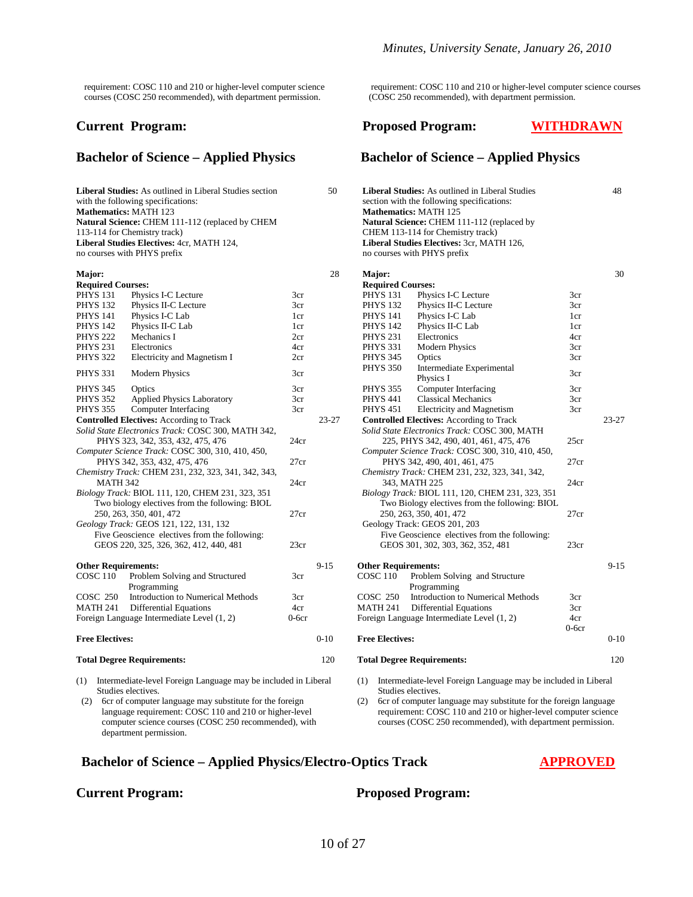requirement: COSC 110 and 210 or higher-level computer science courses (COSC 250 recommended), with department permission.

#### **Current Program:**

#### **Bachelor of Science – Applied Physics**

**Liberal Studies:** As outlined in Liberal Studies section with the following specifications: **Mathematics:** MATH 123 **Mathematics:** MATH 125 **Natural Science:** CHEM 111-112 (replaced by CHEM 113-114 for Chemistry track)<br>Liberal Studies Electives: 4cr, MATH 124, **Liberal Studies Electives:**  $4$ cr, MATH 124,<br>
no courses with PHYS prefix<br>
no courses with PHYS prefix

| Major:                               |                                                     |         | 28        | Major:                     |                                                  |                 |
|--------------------------------------|-----------------------------------------------------|---------|-----------|----------------------------|--------------------------------------------------|-----------------|
| <b>Required Courses:</b>             |                                                     |         |           | <b>Required Courses:</b>   |                                                  |                 |
| <b>PHYS 131</b>                      | Physics I-C Lecture                                 | 3cr     |           | <b>PHYS 131</b>            | Physics I-C Lecture                              | 3cr             |
| <b>PHYS 132</b>                      | Physics II-C Lecture                                | 3cr     |           | <b>PHYS 132</b>            | Physics II-C Lecture                             | 3cr             |
| <b>PHYS 141</b>                      | Physics I-C Lab                                     | 1cr     |           | <b>PHYS 141</b>            | Physics I-C Lab                                  | 1 <sub>cr</sub> |
| <b>PHYS 142</b>                      | Physics II-C Lab                                    | 1cr     |           | <b>PHYS 142</b>            | Physics II-C Lab                                 | 1 <sub>cr</sub> |
| <b>PHYS 222</b>                      | Mechanics I                                         | 2cr     |           | <b>PHYS 231</b>            | Electronics                                      | 4cr             |
| <b>PHYS 231</b>                      | Electronics                                         | 4cr     |           | <b>PHYS 331</b>            | <b>Modern Physics</b>                            | 3cr             |
| <b>PHYS 322</b>                      | Electricity and Magnetism I                         | 2cr     |           | <b>PHYS 345</b>            | Optics                                           | 3 <sub>cr</sub> |
| <b>PHYS 331</b>                      | <b>Modern Physics</b>                               | 3cr     |           | <b>PHYS 350</b>            | Intermediate Experimental<br>Physics I           | 3 <sub>cr</sub> |
| <b>PHYS 345</b>                      | Optics                                              | 3cr     |           | <b>PHYS 355</b>            | Computer Interfacing                             | 3 <sub>cr</sub> |
| <b>PHYS 352</b>                      | <b>Applied Physics Laboratory</b>                   | 3cr     |           | <b>PHYS 441</b>            | <b>Classical Mechanics</b>                       | 3 <sub>cr</sub> |
| <b>PHYS 355</b>                      | Computer Interfacing                                | 3cr     |           | <b>PHYS 451</b>            | Electricity and Magnetism                        | 3 <sub>cr</sub> |
|                                      | <b>Controlled Electives:</b> According to Track     |         | $23 - 27$ |                            | <b>Controlled Electives:</b> According to Track  |                 |
|                                      | Solid State Electronics Track: COSC 300, MATH 342,  |         |           |                            | Solid State Electronics Track: COSC 300, MATH    |                 |
|                                      | PHYS 323, 342, 353, 432, 475, 476                   | 24cr    |           |                            | 225, PHYS 342, 490, 401, 461, 475, 476           | 25c             |
|                                      | Computer Science Track: COSC 300, 310, 410, 450,    |         |           |                            | Computer Science Track: COSC 300, 310, 410, 450, |                 |
|                                      | PHYS 342, 353, 432, 475, 476                        | 27cr    |           |                            | PHYS 342, 490, 401, 461, 475                     | 27c             |
|                                      | Chemistry Track: CHEM 231, 232, 323, 341, 342, 343, |         |           |                            | Chemistry Track: CHEM 231, 232, 323, 341, 342,   |                 |
| <b>MATH 342</b>                      |                                                     | 24cr    |           |                            | 343, MATH 225                                    | 24c             |
|                                      | Biology Track: BIOL 111, 120, CHEM 231, 323, 351    |         |           |                            | Biology Track: BIOL 111, 120, CHEM 231, 323, 351 |                 |
|                                      | Two biology electives from the following: BIOL      |         |           |                            | Two Biology electives from the following: BIOL   |                 |
|                                      | 250, 263, 350, 401, 472                             | 27cr    |           |                            | 250, 263, 350, 401, 472                          | 27c             |
|                                      | Geology Track: GEOS 121, 122, 131, 132              |         |           |                            | Geology Track: GEOS 201, 203                     |                 |
|                                      | Five Geoscience electives from the following:       |         |           |                            | Five Geoscience electives from the following:    |                 |
|                                      | GEOS 220, 325, 326, 362, 412, 440, 481              | 23cr    |           |                            | GEOS 301, 302, 303, 362, 352, 481                | 23c             |
| <b>Other Requirements:</b>           |                                                     |         | $9-15$    | <b>Other Requirements:</b> |                                                  |                 |
| <b>COSC 110</b>                      | Problem Solving and Structured                      | 3cr     |           | <b>COSC 110</b>            | Problem Solving and Structure                    |                 |
|                                      | Programming                                         |         |           |                            | Programming                                      |                 |
| <b>COSC 250</b>                      | <b>Introduction to Numerical Methods</b>            | 3cr     |           | <b>COSC 250</b>            | Introduction to Numerical Methods                | 3cr             |
| <b>MATH 241</b>                      | Differential Equations                              | 4cr     |           | <b>MATH 241</b>            | <b>Differential Equations</b>                    | 3cr             |
|                                      | Foreign Language Intermediate Level (1, 2)          | $0-6cr$ |           |                            | Foreign Language Intermediate Level (1, 2)       | 4cr             |
|                                      |                                                     |         |           |                            |                                                  | $0-6c$          |
| $F_{\text{max}}$ $F_{\text{bottom}}$ |                                                     |         | 0.10      | <b>Frog Flootivect</b>     |                                                  |                 |

- (1) Intermediate-level Foreign Language may be included in Liberal Studies electives.
- (2) 6cr of computer language may substitute for the foreign language requirement: COSC 110 and 210 or higher-level computer science courses (COSC 250 recommended), with department permission.

 requirement: COSC 110 and 210 or higher-level computer science courses (COSC 250 recommended), with department permission.

#### **Proposed Program: WITHDRAWN**

#### **Bachelor of Science – Applied Physics**

- 50 **Liberal Studies:** As outlined in Liberal Studies section with the following specifications: 48 **Natural Science:** CHEM 111-112 (replaced by CHEM 113-114 for Chemistry track) no courses with PHYS prefix 30 **Required Courses: Required Courses:** PHYS 131 Physics I-C Lecture 3cr PHYS 132 Physics II-C Lecture 3cr Physics II-C Lecture PHYS 141 Physics I-C Lab 1cr PHYS 142 Physics II-C Lab 1cr Physics II-C Lab 1cr PHYS 331 Modern Physics 3cr PHYS 345 Optics 3cr PHYS 345 PHYS 350 Intermediate Experimental PHYS 350 Intermediate experimental 3cr<br>PHYS 355 Computer Interfacing 3cr Computer Interfacing 3cr PHYS 441 Classical Mechanics 3cr PHYS 451 Electricity and Magnetism 3cr Electricity and Magnetism **Controlled Electives:** According to Track 23-27 **Controlled Electives:** According to Track 23-27  *Solid State Electronics Track:* COSC 300, MATH 225, PHYS 342, 490, 401, 461, 475, 476 25cr  *Computer Science Track:* COSC 300, 310, 410, 450, PHYS 342, 490, 401, 461, 475 27cr  *Chemistry Track:* CHEM 231, 232, 323, 341, 342, 343, MATH 225 24cr  *Biology Track:* BIOL 111, 120, CHEM 231, 323, 351 Two Biology electives from the following: BIOL 250, 263, 350, 401, 472 27cr Geology Track: GEOS 201, 203 Five Geoscience electives from the following: GEOS 301, 302, 303, 362, 352, 481 23cr **Other Requirements:** 9-15 **Other Requirements:** 9-15 COSC 110 Problem Solving and Structure Programming COSC 250 Introduction to Numerical Methods 3cr MATH 241 Differential Equations 3cr Foreign Language Intermediate Level (1, 2) 4cr 0-6cr **Free Electives:** 0-10 **Free Electives:** 0-10 **Total Degree Requirements:** 120 **Total Degree Requirements:** 120
	- (1) Intermediate-level Foreign Language may be included in Liberal Studies electives.
	- (2) 6cr of computer language may substitute for the foreign language requirement: COSC 110 and 210 or higher-level computer science courses (COSC 250 recommended), with department permission.

#### **Bachelor of Science – Applied Physics/Electro-Optics Track APPROVED**

#### **Current Program: Proposed Program:**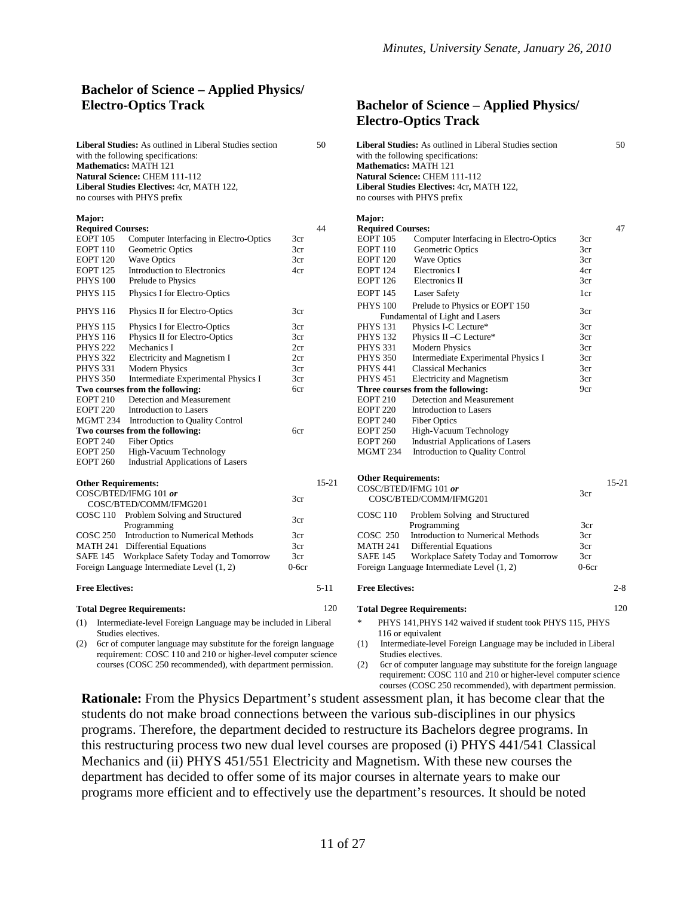#### **Bachelor of Science – Applied Physics/ Electro-Optics Track Bachelor of Science – Applied Physics/**

| <b>Liberal Studies:</b> As outlined in Liberal Studies section | 50 | <b>Liberal Studies:</b> As outlined in Liberal Stud |
|----------------------------------------------------------------|----|-----------------------------------------------------|
| with the following specifications:                             |    | with the following specifications:                  |
| <b>Mathematics: MATH 121</b>                                   |    | <b>Mathematics: MATH 121</b>                        |
| <b>Natural Science: CHEM 111-112</b>                           |    | Natural Science: CHEM 111-112                       |
| <b>Liberal Studies Electives: 4cr, MATH 122,</b>               |    | Liberal Studies Electives: 4cr, MATH 122.           |
| no courses with PHYS prefix                                    |    | no courses with PHYS prefix                         |
|                                                                |    |                                                     |

| Major:                     |                                                        |         |           | Major:                     |                                               |         |
|----------------------------|--------------------------------------------------------|---------|-----------|----------------------------|-----------------------------------------------|---------|
| <b>Required Courses:</b>   |                                                        |         | 44        | <b>Required Courses:</b>   |                                               |         |
| <b>EOPT 105</b>            | Computer Interfacing in Electro-Optics                 | 3cr     |           | <b>EOPT 105</b>            | Computer Interfacing in Electro-Optics        | 3cr     |
| <b>EOPT 110</b>            | Geometric Optics                                       | 3cr     |           | <b>EOPT 110</b>            | Geometric Optics                              | 3cr     |
| <b>EOPT 120</b>            | <b>Wave Optics</b>                                     | 3cr     |           | <b>EOPT 120</b>            | <b>Wave Optics</b>                            | 3cr     |
| <b>EOPT 125</b>            | Introduction to Electronics                            | 4cr     |           | <b>EOPT 124</b>            | Electronics I                                 | 4cr     |
| <b>PHYS 100</b>            | Prelude to Physics                                     |         |           | <b>EOPT</b> 126            | Electronics II                                | 3cr     |
| <b>PHYS 115</b>            | Physics I for Electro-Optics                           |         |           | <b>EOPT 145</b>            | <b>Laser Safety</b>                           | 1cr     |
| <b>PHYS 116</b>            |                                                        | 3cr     |           | <b>PHYS 100</b>            | Prelude to Physics or EOPT 150                | 3cr     |
|                            | Physics II for Electro-Optics                          |         |           |                            | Fundamental of Light and Lasers               |         |
| <b>PHYS 115</b>            | Physics I for Electro-Optics                           | 3cr     |           | <b>PHYS 131</b>            | Physics I-C Lecture*                          | 3cr     |
| <b>PHYS 116</b>            | Physics II for Electro-Optics                          | 3cr     |           | <b>PHYS 132</b>            | Physics II -C Lecture*                        | 3cr     |
| <b>PHYS 222</b>            | Mechanics I                                            | 2cr     |           | <b>PHYS 331</b>            | <b>Modern Physics</b>                         | 3cr     |
| <b>PHYS 322</b>            | Electricity and Magnetism I                            | 2cr     |           | <b>PHYS 350</b>            | Intermediate Experimental Physics I           | 3cr     |
| <b>PHYS 331</b>            | <b>Modern Physics</b>                                  | 3cr     |           | <b>PHYS 441</b>            | <b>Classical Mechanics</b>                    | 3cr     |
| <b>PHYS 350</b>            | Intermediate Experimental Physics I                    | 3cr     |           | <b>PHYS 451</b>            | <b>Electricity and Magnetism</b>              | 3cr     |
|                            | Two courses from the following:                        | 6cr     |           |                            | Three courses from the following:             | 9cr     |
| <b>EOPT 210</b>            | Detection and Measurement                              |         |           | <b>EOPT 210</b>            | Detection and Measurement                     |         |
| <b>EOPT 220</b>            | <b>Introduction</b> to Lasers                          |         |           | <b>EOPT 220</b>            | Introduction to Lasers                        |         |
| MGMT 234                   | Introduction to Quality Control                        |         |           | <b>EOPT 240</b>            | <b>Fiber Optics</b>                           |         |
|                            | Two courses from the following:                        | 6cr     |           | <b>EOPT 250</b>            | High-Vacuum Technology                        |         |
| <b>EOPT 240</b>            | <b>Fiber Optics</b>                                    |         |           | <b>EOPT 260</b>            | <b>Industrial Applications of Lasers</b>      |         |
| <b>EOPT 250</b>            | High-Vacuum Technology                                 |         |           | <b>MGMT 234</b>            | <b>Introduction to Quality Control</b>        |         |
| <b>EOPT 260</b>            | <b>Industrial Applications of Lasers</b>               |         |           |                            |                                               |         |
|                            |                                                        |         | $15 - 21$ | <b>Other Requirements:</b> |                                               |         |
| <b>Other Requirements:</b> |                                                        |         |           |                            | COSC/BTED/IFMG 101 or                         |         |
|                            | COSC/BTED/IFMG 101 or<br>COSC/BTED/COMM/IFMG201        | 3cr     |           |                            | COSC/BTED/COMM/IFMG201                        | 3cr     |
|                            |                                                        |         |           |                            |                                               |         |
|                            | COSC 110 Problem Solving and Structured<br>Programming | 3cr     |           | <b>COSC 110</b>            | Problem Solving and Structured<br>Programming | 3cr     |
| <b>COSC 250</b>            | Introduction to Numerical Methods                      | 3cr     |           | <b>COSC 250</b>            | <b>Introduction to Numerical Methods</b>      | 3cr     |
|                            | MATH 241 Differential Equations                        | 3cr     |           | <b>MATH 241</b>            | Differential Equations                        | 3cr     |
|                            | SAFE 145 Workplace Safety Today and Tomorrow           | 3cr     |           | <b>SAFE 145</b>            | Workplace Safety Today and Tomorrow           | 3cr     |
|                            | Foreign Language Intermediate Level (1, 2)             | $0-6cr$ |           |                            | Foreign Language Intermediate Level (1, 2)    | $0-6cr$ |
| <b>Free Electives:</b>     |                                                        |         | $5 - 11$  | <b>Free Electives:</b>     |                                               |         |
|                            | <b>Total Degree Requirements:</b>                      |         | 120       |                            | <b>Total Degree Requirements:</b>             |         |

#### (1) Intermediate-level Foreign Language may be included in Liberal Studies electives.

(2) 6cr of computer language may substitute for the foreign language requirement: COSC 110 and 210 or higher-level computer science courses (COSC 250 recommended), with department permission.

# **Electro-Optics Track**

| <b>Liberal Studies:</b> As outlined in Liberal Studies section<br>50<br>with the following specifications:<br><b>Mathematics: MATH 121</b><br>Natural Science: CHEM 111-112<br>Liberal Studies Electives: 4cr, MATH 122,<br>no courses with PHYS prefix |                                                                    |         | 50<br><b>Liberal Studies:</b> As outlined in Liberal Studies section<br>with the following specifications:<br><b>Mathematics: MATH 121</b><br>Natural Science: CHEM 111-112<br>Liberal Studies Electives: 4cr, MATH 122,<br>no courses with PHYS prefix |                            |                                                          |                 |           |  |
|---------------------------------------------------------------------------------------------------------------------------------------------------------------------------------------------------------------------------------------------------------|--------------------------------------------------------------------|---------|---------------------------------------------------------------------------------------------------------------------------------------------------------------------------------------------------------------------------------------------------------|----------------------------|----------------------------------------------------------|-----------------|-----------|--|
| <b>Major:</b>                                                                                                                                                                                                                                           |                                                                    |         |                                                                                                                                                                                                                                                         | Major:                     |                                                          |                 |           |  |
| <b>Required Courses:</b>                                                                                                                                                                                                                                |                                                                    |         | 44                                                                                                                                                                                                                                                      | <b>Required Courses:</b>   |                                                          |                 | 47        |  |
| EOPT 105                                                                                                                                                                                                                                                | Computer Interfacing in Electro-Optics                             | 3cr     |                                                                                                                                                                                                                                                         | <b>EOPT</b> 105            | Computer Interfacing in Electro-Optics                   | 3cr             |           |  |
| EOPT 110                                                                                                                                                                                                                                                | Geometric Optics                                                   | 3cr     |                                                                                                                                                                                                                                                         | <b>EOPT</b> 110            | Geometric Optics                                         | 3cr             |           |  |
| EOPT 120                                                                                                                                                                                                                                                | <b>Wave Optics</b>                                                 | 3cr     |                                                                                                                                                                                                                                                         | <b>EOPT 120</b>            | <b>Wave Optics</b>                                       | 3cr             |           |  |
| EOPT <sub>125</sub>                                                                                                                                                                                                                                     | Introduction to Electronics                                        | 4cr     |                                                                                                                                                                                                                                                         | <b>EOPT 124</b>            | Electronics I                                            | 4cr             |           |  |
| <b>PHYS 100</b>                                                                                                                                                                                                                                         | Prelude to Physics                                                 |         |                                                                                                                                                                                                                                                         | <b>EOPT 126</b>            | Electronics II                                           | 3cr             |           |  |
| PHYS 115                                                                                                                                                                                                                                                | Physics I for Electro-Optics                                       |         |                                                                                                                                                                                                                                                         | <b>EOPT 145</b>            | Laser Safety                                             | 1cr             |           |  |
|                                                                                                                                                                                                                                                         |                                                                    |         |                                                                                                                                                                                                                                                         |                            |                                                          |                 |           |  |
| PHYS 116                                                                                                                                                                                                                                                | Physics II for Electro-Optics                                      | 3cr     |                                                                                                                                                                                                                                                         | <b>PHYS 100</b>            | Prelude to Physics or EOPT 150                           | 3cr             |           |  |
|                                                                                                                                                                                                                                                         |                                                                    |         |                                                                                                                                                                                                                                                         |                            | Fundamental of Light and Lasers                          |                 |           |  |
| PHYS 115                                                                                                                                                                                                                                                | Physics I for Electro-Optics                                       | 3cr     |                                                                                                                                                                                                                                                         | <b>PHYS 131</b>            | Physics I-C Lecture*                                     | 3cr             |           |  |
| PHYS 116                                                                                                                                                                                                                                                | Physics II for Electro-Optics                                      | 3cr     |                                                                                                                                                                                                                                                         | <b>PHYS 132</b>            | Physics II - C Lecture*                                  | 3cr             |           |  |
| PHYS 222                                                                                                                                                                                                                                                | Mechanics I                                                        | 2cr     |                                                                                                                                                                                                                                                         | <b>PHYS 331</b>            | <b>Modern Physics</b>                                    | 3cr             |           |  |
| <b>PHYS 322</b>                                                                                                                                                                                                                                         | Electricity and Magnetism I                                        | 2cr     |                                                                                                                                                                                                                                                         | <b>PHYS 350</b>            | Intermediate Experimental Physics I                      | 3cr             |           |  |
| PHYS 331                                                                                                                                                                                                                                                | <b>Modern Physics</b>                                              | 3cr     |                                                                                                                                                                                                                                                         | <b>PHYS 441</b>            | <b>Classical Mechanics</b>                               | 3cr             |           |  |
| <b>PHYS 350</b>                                                                                                                                                                                                                                         | Intermediate Experimental Physics I                                | 3cr     |                                                                                                                                                                                                                                                         | <b>PHYS 451</b>            | Electricity and Magnetism                                | 3cr             |           |  |
|                                                                                                                                                                                                                                                         | Two courses from the following:                                    | 6cr     |                                                                                                                                                                                                                                                         |                            | Three courses from the following:                        | 9 <sub>cr</sub> |           |  |
| EOPT 210                                                                                                                                                                                                                                                | Detection and Measurement                                          |         |                                                                                                                                                                                                                                                         | <b>EOPT 210</b>            | Detection and Measurement                                |                 |           |  |
| EOPT 220                                                                                                                                                                                                                                                | Introduction to Lasers                                             |         |                                                                                                                                                                                                                                                         | <b>EOPT 220</b>            | Introduction to Lasers                                   |                 |           |  |
| MGMT 234                                                                                                                                                                                                                                                | Introduction to Quality Control                                    |         |                                                                                                                                                                                                                                                         | <b>EOPT 240</b>            | <b>Fiber Optics</b>                                      |                 |           |  |
|                                                                                                                                                                                                                                                         | Two courses from the following:                                    | 6cr     |                                                                                                                                                                                                                                                         | <b>EOPT 250</b>            | High-Vacuum Technology                                   |                 |           |  |
| EOPT 240                                                                                                                                                                                                                                                | <b>Fiber Optics</b>                                                |         |                                                                                                                                                                                                                                                         | <b>EOPT 260</b>            | <b>Industrial Applications of Lasers</b>                 |                 |           |  |
|                                                                                                                                                                                                                                                         |                                                                    |         |                                                                                                                                                                                                                                                         |                            |                                                          |                 |           |  |
| <b>EOPT 250</b>                                                                                                                                                                                                                                         | High-Vacuum Technology                                             |         |                                                                                                                                                                                                                                                         | MGMT 234                   | Introduction to Quality Control                          |                 |           |  |
| EOPT 260                                                                                                                                                                                                                                                | <b>Industrial Applications of Lasers</b>                           |         |                                                                                                                                                                                                                                                         |                            |                                                          |                 |           |  |
|                                                                                                                                                                                                                                                         |                                                                    |         |                                                                                                                                                                                                                                                         | <b>Other Requirements:</b> |                                                          |                 |           |  |
| <b>Other Requirements:</b>                                                                                                                                                                                                                              |                                                                    |         | $15 - 21$                                                                                                                                                                                                                                               |                            | COSC/BTED/IFMG 101 or                                    |                 | $15 - 21$ |  |
|                                                                                                                                                                                                                                                         | COSC/BTED/IFMG 101 or                                              | 3cr     |                                                                                                                                                                                                                                                         |                            | COSC/BTED/COMM/IFMG201                                   | 3cr             |           |  |
|                                                                                                                                                                                                                                                         | COSC/BTED/COMM/IFMG201                                             |         |                                                                                                                                                                                                                                                         |                            |                                                          |                 |           |  |
|                                                                                                                                                                                                                                                         | COSC 110 Problem Solving and Structured<br>Programming             | 3cr     |                                                                                                                                                                                                                                                         | <b>COSC 110</b>            | Problem Solving and Structured<br>Programming            | 3cr             |           |  |
|                                                                                                                                                                                                                                                         | COSC 250 Introduction to Numerical Methods                         | 3cr     |                                                                                                                                                                                                                                                         | COSC 250                   | Introduction to Numerical Methods                        | 3cr             |           |  |
|                                                                                                                                                                                                                                                         | <b>MATH 241 Differential Equations</b>                             | 3cr     |                                                                                                                                                                                                                                                         | MATH 241                   | <b>Differential Equations</b>                            | 3cr             |           |  |
|                                                                                                                                                                                                                                                         | SAFE 145 Workplace Safety Today and Tomorrow                       | 3cr     |                                                                                                                                                                                                                                                         | <b>SAFE 145</b>            | Workplace Safety Today and Tomorrow                      | 3cr             |           |  |
|                                                                                                                                                                                                                                                         | Foreign Language Intermediate Level (1, 2)                         | $0-6cr$ |                                                                                                                                                                                                                                                         |                            | Foreign Language Intermediate Level (1, 2)               | $0-6cr$         |           |  |
| <b>Free Electives:</b>                                                                                                                                                                                                                                  |                                                                    |         | $5 - 11$                                                                                                                                                                                                                                                | <b>Free Electives:</b>     |                                                          |                 | $2 - 8$   |  |
|                                                                                                                                                                                                                                                         | <b>Total Degree Requirements:</b>                                  |         | 120                                                                                                                                                                                                                                                     |                            | <b>Total Degree Requirements:</b>                        |                 | 120       |  |
|                                                                                                                                                                                                                                                         | (1) Intermediate-level Foreign Language may be included in Liberal |         |                                                                                                                                                                                                                                                         | *                          | PHYS 141. PHYS 142 waived if student took PHYS 115. PHYS |                 |           |  |

\* PHYS 141,PHYS 142 waived if student took PHYS 115, PHYS 116 or equivalent

(1) Intermediate-level Foreign Language may be included in Liberal Studies electives.

(2) 6cr of computer language may substitute for the foreign language requirement: COSC 110 and 210 or higher-level computer science courses (COSC 250 recommended), with department permission.

**Rationale:** From the Physics Department's student assessment plan, it has become clear that the students do not make broad connections between the various sub-disciplines in our physics programs. Therefore, the department decided to restructure its Bachelors degree programs. In this restructuring process two new dual level courses are proposed (i) PHYS 441/541 Classical Mechanics and (ii) PHYS 451/551 Electricity and Magnetism. With these new courses the department has decided to offer some of its major courses in alternate years to make our programs more efficient and to effectively use the department's resources. It should be noted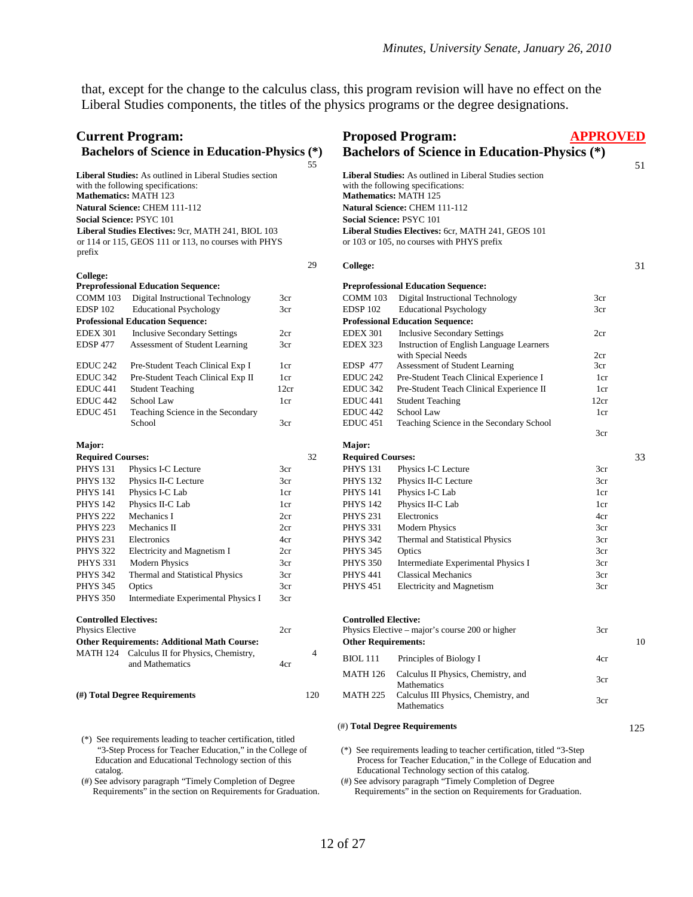that, except for the change to the calculus class, this program revision will have no effect on the Liberal Studies components, the titles of the physics programs or the degree designations.

| <b>Current Program:</b>                              |                                                                                                                                                                                                                                                                                                                 |                 | <b>Proposed Program:</b>           | <b>APPROVED</b>                                                                                                                                                                                                                                                                                       |      |
|------------------------------------------------------|-----------------------------------------------------------------------------------------------------------------------------------------------------------------------------------------------------------------------------------------------------------------------------------------------------------------|-----------------|------------------------------------|-------------------------------------------------------------------------------------------------------------------------------------------------------------------------------------------------------------------------------------------------------------------------------------------------------|------|
| <b>Bachelors of Science in Education-Physics (*)</b> |                                                                                                                                                                                                                                                                                                                 |                 |                                    | <b>Bachelors of Science in Education-Physics (*)</b>                                                                                                                                                                                                                                                  |      |
|                                                      | <b>Liberal Studies:</b> As outlined in Liberal Studies section<br>with the following specifications:<br><b>Mathematics: MATH 123</b><br>Natural Science: CHEM 111-112<br>Social Science: PSYC 101<br>Liberal Studies Electives: 9cr, MATH 241, BIOL 103<br>or 114 or 115, GEOS 111 or 113, no courses with PHYS | 55              |                                    | <b>Liberal Studies:</b> As outlined in Liberal Studies section<br>with the following specifications:<br>Mathematics: MATH 125<br>Natural Science: CHEM 111-112<br><b>Social Science: PSYC 101</b><br>Liberal Studies Electives: 6cr, MATH 241, GEOS 101<br>or 103 or 105, no courses with PHYS prefix | 51   |
| prefix                                               |                                                                                                                                                                                                                                                                                                                 | 29              | <b>College:</b>                    |                                                                                                                                                                                                                                                                                                       | 31   |
| College:                                             |                                                                                                                                                                                                                                                                                                                 |                 |                                    |                                                                                                                                                                                                                                                                                                       |      |
|                                                      | <b>Preprofessional Education Sequence:</b>                                                                                                                                                                                                                                                                      |                 |                                    | <b>Preprofessional Education Sequence:</b>                                                                                                                                                                                                                                                            |      |
| COMM 103                                             | Digital Instructional Technology                                                                                                                                                                                                                                                                                | 3cr             | COMM 103                           | Digital Instructional Technology                                                                                                                                                                                                                                                                      | 3cr  |
| <b>EDSP 102</b>                                      | <b>Educational Psychology</b>                                                                                                                                                                                                                                                                                   | 3cr             | EDSP <sub>102</sub>                | <b>Educational Psychology</b>                                                                                                                                                                                                                                                                         | 3cr  |
|                                                      | <b>Professional Education Sequence:</b>                                                                                                                                                                                                                                                                         |                 |                                    | <b>Professional Education Sequence:</b>                                                                                                                                                                                                                                                               |      |
| <b>EDEX 301</b>                                      | <b>Inclusive Secondary Settings</b>                                                                                                                                                                                                                                                                             | 2cr             | <b>EDEX 301</b>                    | <b>Inclusive Secondary Settings</b>                                                                                                                                                                                                                                                                   | 2cr  |
| EDSP 477                                             | Assessment of Student Learning                                                                                                                                                                                                                                                                                  | 3 <sub>cr</sub> | EDEX 323                           | Instruction of English Language Learners                                                                                                                                                                                                                                                              |      |
|                                                      |                                                                                                                                                                                                                                                                                                                 |                 |                                    | with Special Needs                                                                                                                                                                                                                                                                                    | 2cr  |
| <b>EDUC 242</b>                                      | Pre-Student Teach Clinical Exp I                                                                                                                                                                                                                                                                                | 1cr             | EDSP 477                           | Assessment of Student Learning                                                                                                                                                                                                                                                                        | 3cr  |
| EDUC 342                                             | Pre-Student Teach Clinical Exp II                                                                                                                                                                                                                                                                               | 1cr             | EDUC <sub>242</sub>                | Pre-Student Teach Clinical Experience I                                                                                                                                                                                                                                                               | 1cr  |
| <b>EDUC 441</b>                                      | <b>Student Teaching</b>                                                                                                                                                                                                                                                                                         | 12cr            | EDUC <sub>342</sub>                | Pre-Student Teach Clinical Experience II                                                                                                                                                                                                                                                              | 1cr  |
| EDUC <sub>442</sub>                                  | School Law                                                                                                                                                                                                                                                                                                      | 1cr             | EDUC <sub>441</sub>                | <b>Student Teaching</b>                                                                                                                                                                                                                                                                               | 12cr |
| EDUC 451                                             | Teaching Science in the Secondary                                                                                                                                                                                                                                                                               |                 | EDUC <sub>442</sub>                | School Law                                                                                                                                                                                                                                                                                            | 1cr  |
|                                                      | School                                                                                                                                                                                                                                                                                                          | 3cr             | EDUC <sub>451</sub>                | Teaching Science in the Secondary School                                                                                                                                                                                                                                                              | 3cr  |
| Major:                                               |                                                                                                                                                                                                                                                                                                                 |                 | Major:                             |                                                                                                                                                                                                                                                                                                       |      |
| <b>Required Courses:</b>                             |                                                                                                                                                                                                                                                                                                                 | 32              | <b>Required Courses:</b>           |                                                                                                                                                                                                                                                                                                       | 33   |
|                                                      |                                                                                                                                                                                                                                                                                                                 |                 |                                    |                                                                                                                                                                                                                                                                                                       |      |
| <b>PHYS 131</b><br><b>PHYS 132</b>                   | Physics I-C Lecture                                                                                                                                                                                                                                                                                             | 3cr             | <b>PHYS 131</b><br><b>PHYS 132</b> | Physics I-C Lecture<br>Physics II-C Lecture                                                                                                                                                                                                                                                           | 3cr  |
| <b>PHYS 141</b>                                      | Physics II-C Lecture                                                                                                                                                                                                                                                                                            | 3cr             |                                    |                                                                                                                                                                                                                                                                                                       | 3cr  |
|                                                      | Physics I-C Lab                                                                                                                                                                                                                                                                                                 | 1cr             | <b>PHYS 141</b>                    | Physics I-C Lab                                                                                                                                                                                                                                                                                       | 1cr  |
| <b>PHYS 142</b>                                      | Physics II-C Lab                                                                                                                                                                                                                                                                                                | 1cr             | <b>PHYS 142</b>                    | Physics II-C Lab                                                                                                                                                                                                                                                                                      | 1cr  |
| <b>PHYS 222</b>                                      | Mechanics I                                                                                                                                                                                                                                                                                                     | 2cr             | <b>PHYS 231</b>                    | Electronics                                                                                                                                                                                                                                                                                           | 4cr  |
| <b>PHYS 223</b>                                      | Mechanics II                                                                                                                                                                                                                                                                                                    | 2cr             | <b>PHYS 331</b>                    | <b>Modern Physics</b>                                                                                                                                                                                                                                                                                 | 3cr  |
| <b>PHYS 231</b>                                      | Electronics                                                                                                                                                                                                                                                                                                     | 4cr             | <b>PHYS 342</b>                    | Thermal and Statistical Physics                                                                                                                                                                                                                                                                       | 3cr  |
| <b>PHYS 322</b>                                      | Electricity and Magnetism I                                                                                                                                                                                                                                                                                     | 2cr             | <b>PHYS 345</b>                    | Optics                                                                                                                                                                                                                                                                                                | 3cr  |
| <b>PHYS 331</b>                                      | <b>Modern Physics</b>                                                                                                                                                                                                                                                                                           | 3cr             | <b>PHYS 350</b>                    | Intermediate Experimental Physics I                                                                                                                                                                                                                                                                   | 3cr  |
| <b>PHYS 342</b>                                      | Thermal and Statistical Physics                                                                                                                                                                                                                                                                                 | 3cr             | <b>PHYS 441</b>                    | <b>Classical Mechanics</b>                                                                                                                                                                                                                                                                            | 3cr  |
| <b>PHYS 345</b>                                      | Optics                                                                                                                                                                                                                                                                                                          | 3cr             | <b>PHYS 451</b>                    | Electricity and Magnetism                                                                                                                                                                                                                                                                             | 3cr  |
| <b>PHYS 350</b>                                      | Intermediate Experimental Physics I                                                                                                                                                                                                                                                                             | 3cr             |                                    |                                                                                                                                                                                                                                                                                                       |      |
| <b>Controlled Electives:</b>                         |                                                                                                                                                                                                                                                                                                                 |                 | <b>Controlled Elective:</b>        |                                                                                                                                                                                                                                                                                                       |      |
| Physics Elective                                     |                                                                                                                                                                                                                                                                                                                 | 2cr             |                                    | Physics Elective - major's course 200 or higher                                                                                                                                                                                                                                                       | 3cr  |
|                                                      | <b>Other Requirements: Additional Math Course:</b>                                                                                                                                                                                                                                                              |                 | <b>Other Requirements:</b>         |                                                                                                                                                                                                                                                                                                       | 10   |
|                                                      | MATH 124 Calculus II for Physics, Chemistry,<br>and Mathematics                                                                                                                                                                                                                                                 | 4<br>4cr        | <b>BIOL</b> 111                    | Principles of Biology I                                                                                                                                                                                                                                                                               | 4cr  |
|                                                      |                                                                                                                                                                                                                                                                                                                 |                 | MATH 126                           | Calculus II Physics, Chemistry, and<br>Mathematics                                                                                                                                                                                                                                                    | 3cr  |
|                                                      | (#) Total Degree Requirements                                                                                                                                                                                                                                                                                   | 120             | MATH 225                           | Calculus III Physics, Chemistry, and<br>Mathematics                                                                                                                                                                                                                                                   | 3cr  |
|                                                      |                                                                                                                                                                                                                                                                                                                 |                 |                                    | (#) Total Degree Requirements                                                                                                                                                                                                                                                                         | 125  |
| catalog.                                             | (*) See requirements leading to teacher certification, titled<br>"3-Step Process for Teacher Education," in the College of<br>Education and Educational Technology section of this                                                                                                                              |                 |                                    | (*) See requirements leading to teacher certification, titled "3-Step"<br>Process for Teacher Education," in the College of Education and<br>Educational Technology section of this catalog.                                                                                                          |      |

(#) See advisory paragraph "Timely Completion of Degree Requirements" in the section on Requirements for Graduation.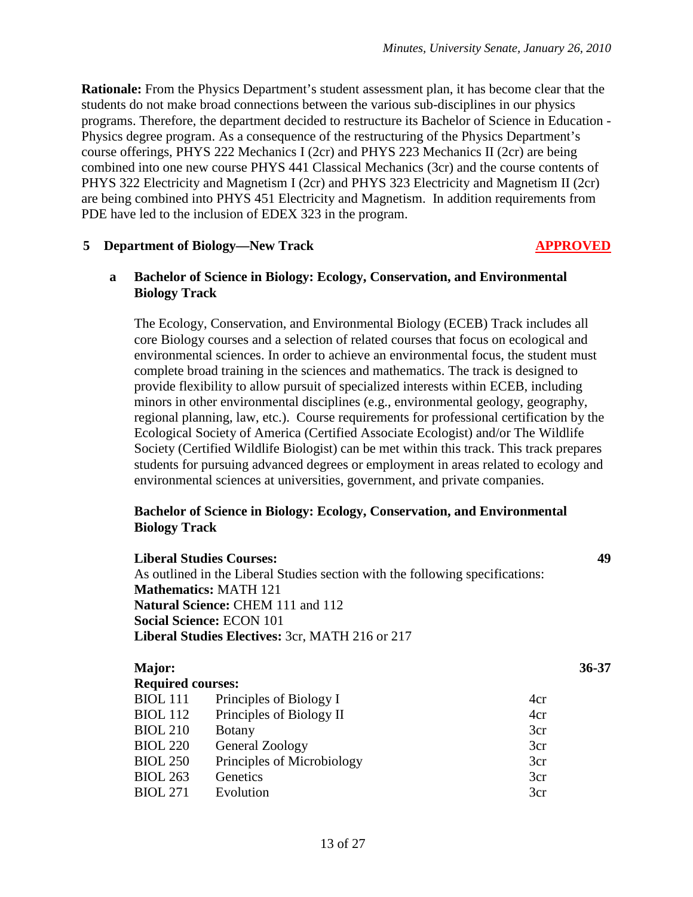**Rationale:** From the Physics Department's student assessment plan, it has become clear that the students do not make broad connections between the various sub-disciplines in our physics programs. Therefore, the department decided to restructure its Bachelor of Science in Education - Physics degree program. As a consequence of the restructuring of the Physics Department's course offerings, PHYS 222 Mechanics I (2cr) and PHYS 223 Mechanics II (2cr) are being combined into one new course PHYS 441 Classical Mechanics (3cr) and the course contents of PHYS 322 Electricity and Magnetism I (2cr) and PHYS 323 Electricity and Magnetism II (2cr) are being combined into PHYS 451 Electricity and Magnetism. In addition requirements from PDE have led to the inclusion of EDEX 323 in the program.

#### **5 Department of Biology—New Track APPROVED**

#### **a Bachelor of Science in Biology: Ecology, Conservation, and Environmental Biology Track**

The Ecology, Conservation, and Environmental Biology (ECEB) Track includes all core Biology courses and a selection of related courses that focus on ecological and environmental sciences. In order to achieve an environmental focus, the student must complete broad training in the sciences and mathematics. The track is designed to provide flexibility to allow pursuit of specialized interests within ECEB, including minors in other environmental disciplines (e.g., environmental geology, geography, regional planning, law, etc.). Course requirements for professional certification by the Ecological Society of America (Certified Associate Ecologist) and/or The Wildlife Society (Certified Wildlife Biologist) can be met within this track. This track prepares students for pursuing advanced degrees or employment in areas related to ecology and environmental sciences at universities, government, and private companies.

#### **Bachelor of Science in Biology: Ecology, Conservation, and Environmental Biology Track**

|                          | <b>Liberal Studies Courses:</b>                                               |           |  |
|--------------------------|-------------------------------------------------------------------------------|-----------|--|
|                          | As outlined in the Liberal Studies section with the following specifications: |           |  |
|                          | <b>Mathematics: MATH 121</b>                                                  |           |  |
|                          | <b>Natural Science: CHEM 111 and 112</b>                                      |           |  |
|                          | <b>Social Science: ECON 101</b>                                               |           |  |
|                          | <b>Liberal Studies Electives: 3cr, MATH 216 or 217</b>                        |           |  |
|                          |                                                                               |           |  |
| Major:                   |                                                                               | $36 - 37$ |  |
| <b>Required courses:</b> |                                                                               |           |  |
| <b>BIOL</b> 111          | Principles of Biology I                                                       | 4cr       |  |
| <b>BIOL</b> 112          | Principles of Biology II                                                      | 4cr       |  |
| <b>BIOL 210</b>          | <b>Botany</b>                                                                 | 3cr       |  |
| <b>BIOL 220</b>          | General Zoology                                                               | 3cr       |  |
| <b>BIOL 250</b>          | Principles of Microbiology                                                    | 3cr       |  |
| <b>BIOL 263</b>          | Genetics                                                                      | 3cr       |  |
| <b>BIOL 271</b>          | Evolution                                                                     | 3cr       |  |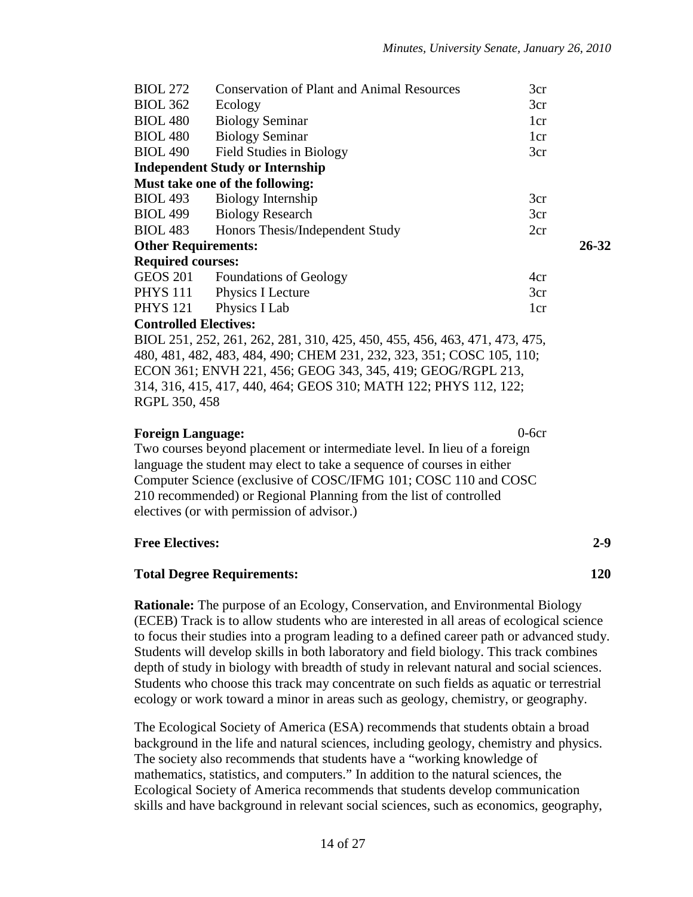| <b>BIOL 272</b>              | <b>Conservation of Plant and Animal Resources</b>                          | 3cr |       |
|------------------------------|----------------------------------------------------------------------------|-----|-------|
| <b>BIOL 362</b>              | Ecology                                                                    | 3cr |       |
| <b>BIOL 480</b>              | <b>Biology Seminar</b>                                                     | 1cr |       |
| <b>BIOL 480</b>              | <b>Biology Seminar</b>                                                     | 1cr |       |
| <b>BIOL 490</b>              | Field Studies in Biology                                                   | 3cr |       |
|                              | <b>Independent Study or Internship</b>                                     |     |       |
|                              | Must take one of the following:                                            |     |       |
| <b>BIOL 493</b>              | Biology Internship                                                         | 3cr |       |
| <b>BIOL 499</b>              | <b>Biology Research</b>                                                    | 3cr |       |
| <b>BIOL 483</b>              | Honors Thesis/Independent Study                                            | 2cr |       |
| <b>Other Requirements:</b>   |                                                                            |     | 26-32 |
| <b>Required courses:</b>     |                                                                            |     |       |
|                              | GEOS 201 Foundations of Geology                                            | 4cr |       |
|                              | PHYS 111 Physics I Lecture                                                 | 3cr |       |
| PHYS 121 Physics I Lab       |                                                                            | 1cr |       |
| <b>Controlled Electives:</b> |                                                                            |     |       |
|                              | BIOL 251, 252, 261, 262, 281, 310, 425, 450, 455, 456, 463, 471, 473, 475, |     |       |
|                              | 480, 481, 482, 483, 484, 490; CHEM 231, 232, 323, 351; COSC 105, 110;      |     |       |
|                              | ECON 361; ENVH 221, 456; GEOG 343, 345, 419; GEOG/RGPL 213,                |     |       |
|                              | 314, 316, 415, 417, 440, 464; GEOS 310; MATH 122; PHYS 112, 122;           |     |       |

RGPL 350, 458

#### **Foreign Language:** 0-6cr

Two courses beyond placement or intermediate level. In lieu of a foreign language the student may elect to take a sequence of courses in either Computer Science (exclusive of COSC/IFMG 101; COSC 110 and COSC 210 recommended) or Regional Planning from the list of controlled electives (or with permission of advisor.)

#### **Free Electives: 2-9**

#### **Total Degree Requirements: 120**

**Rationale:** The purpose of an Ecology, Conservation, and Environmental Biology (ECEB) Track is to allow students who are interested in all areas of ecological science to focus their studies into a program leading to a defined career path or advanced study. Students will develop skills in both laboratory and field biology. This track combines depth of study in biology with breadth of study in relevant natural and social sciences. Students who choose this track may concentrate on such fields as aquatic or terrestrial ecology or work toward a minor in areas such as geology, chemistry, or geography.

The Ecological Society of America (ESA) recommends that students obtain a broad background in the life and natural sciences, including geology, chemistry and physics. The society also recommends that students have a "working knowledge of mathematics, statistics, and computers." In addition to the natural sciences, the Ecological Society of America recommends that students develop communication skills and have background in relevant social sciences, such as economics, geography,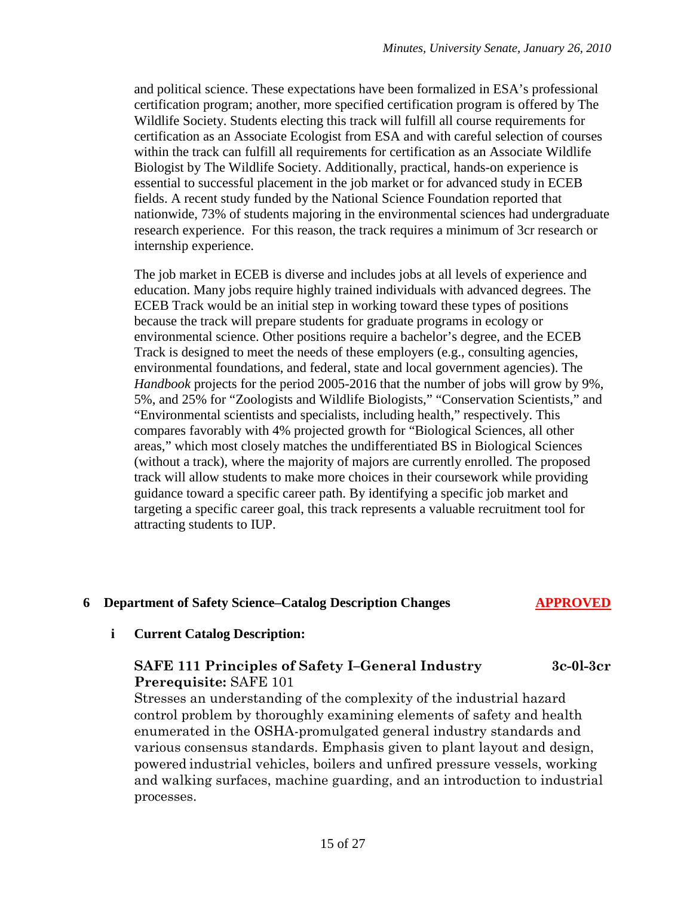and political science. These expectations have been formalized in ESA's professional certification program; another, more specified certification program is offered by The Wildlife Society. Students electing this track will fulfill all course requirements for certification as an Associate Ecologist from ESA and with careful selection of courses within the track can fulfill all requirements for certification as an Associate Wildlife Biologist by The Wildlife Society. Additionally, practical, hands-on experience is essential to successful placement in the job market or for advanced study in ECEB fields. A recent study funded by the National Science Foundation reported that nationwide, 73% of students majoring in the environmental sciences had undergraduate research experience. For this reason, the track requires a minimum of 3cr research or internship experience.

The job market in ECEB is diverse and includes jobs at all levels of experience and education. Many jobs require highly trained individuals with advanced degrees. The ECEB Track would be an initial step in working toward these types of positions because the track will prepare students for graduate programs in ecology or environmental science. Other positions require a bachelor's degree, and the ECEB Track is designed to meet the needs of these employers (e.g., consulting agencies, environmental foundations, and federal, state and local government agencies). The *Handbook* projects for the period 2005-2016 that the number of jobs will grow by 9%, 5%, and 25% for "Zoologists and Wildlife Biologists," "Conservation Scientists," and "Environmental scientists and specialists, including health," respectively. This compares favorably with 4% projected growth for "Biological Sciences, all other areas," which most closely matches the undifferentiated BS in Biological Sciences (without a track), where the majority of majors are currently enrolled. The proposed track will allow students to make more choices in their coursework while providing guidance toward a specific career path. By identifying a specific job market and targeting a specific career goal, this track represents a valuable recruitment tool for attracting students to IUP.

# **6 Department of Safety Science–Catalog Description Changes APPROVED**

#### **i Current Catalog Description:**

### **SAFE 111 Principles of Safety I–General Industry 3c-0l-3cr Prerequisite:** SAFE 101

Stresses an understanding of the complexity of the industrial hazard control problem by thoroughly examining elements of safety and health enumerated in the OSHA-promulgated general industry standards and various consensus standards. Emphasis given to plant layout and design, powered industrial vehicles, boilers and unfired pressure vessels, working and walking surfaces, machine guarding, and an introduction to industrial processes.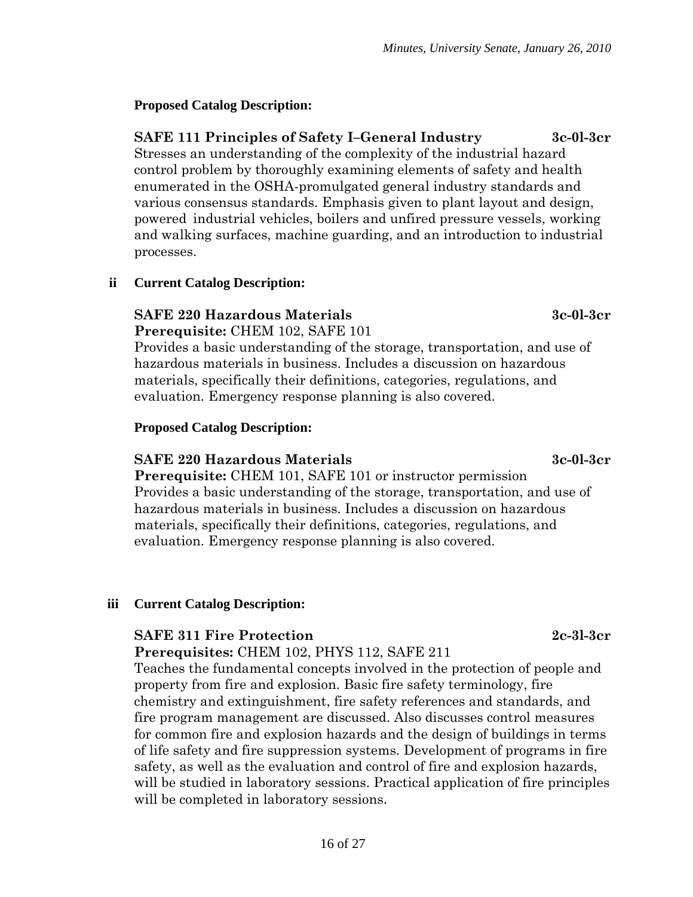# **Proposed Catalog Description:**

**SAFE 111 Principles of Safety I–General Industry 3c-0l-3cr** Stresses an understanding of the complexity of the industrial hazard control problem by thoroughly examining elements of safety and health enumerated in the OSHA-promulgated general industry standards and various consensus standards. Emphasis given to plant layout and design, powered industrial vehicles, boilers and unfired pressure vessels, working and walking surfaces, machine guarding, and an introduction to industrial processes.

# **ii Current Catalog Description:**

#### **SAFE 220 Hazardous Materials 3c-0l-3cr Prerequisite:** CHEM 102, SAFE 101

Provides a basic understanding of the storage, transportation, and use of hazardous materials in business. Includes a discussion on hazardous materials, specifically their definitions, categories, regulations, and evaluation. Emergency response planning is also covered.

# **Proposed Catalog Description:**

# **SAFE 220 Hazardous Materials 3c-0l-3cr**

**Prerequisite:** CHEM 101, SAFE 101 or instructor permission Provides a basic understanding of the storage, transportation, and use of hazardous materials in business. Includes a discussion on hazardous materials, specifically their definitions, categories, regulations, and evaluation. Emergency response planning is also covered.

# **iii Current Catalog Description:**

# **SAFE 311 Fire Protection 2c-3l-3cr**

**Prerequisites:** CHEM 102, PHYS 112, SAFE 211

Teaches the fundamental concepts involved in the protection of people and property from fire and explosion. Basic fire safety terminology, fire chemistry and extinguishment, fire safety references and standards, and fire program management are discussed. Also discusses control measures for common fire and explosion hazards and the design of buildings in terms of life safety and fire suppression systems. Development of programs in fire safety, as well as the evaluation and control of fire and explosion hazards, will be studied in laboratory sessions. Practical application of fire principles will be completed in laboratory sessions.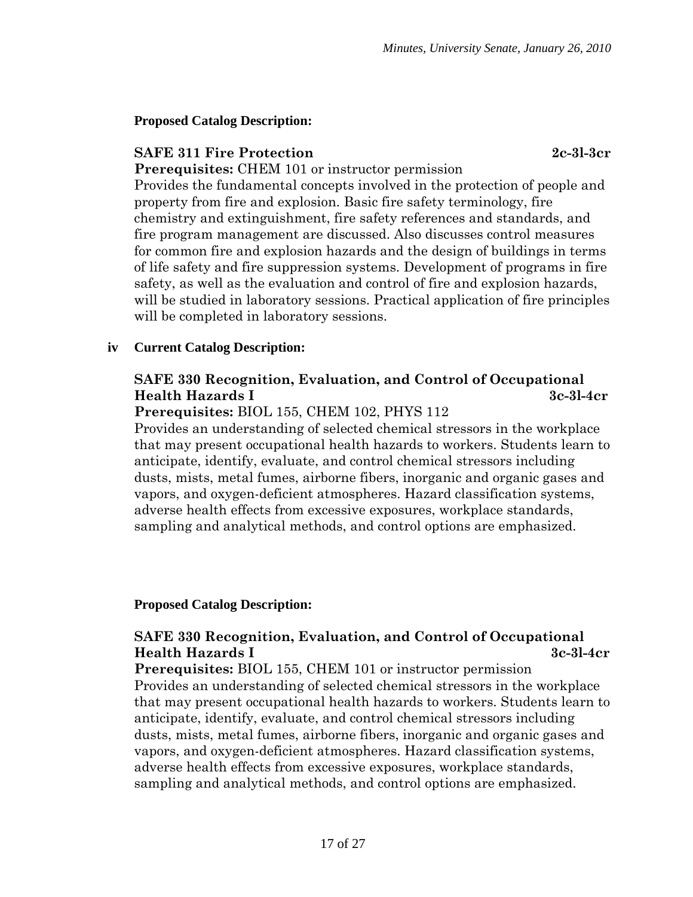#### **Proposed Catalog Description:**

#### **SAFE 311 Fire Protection 2c-3l-3cr**

**Prerequisites:** CHEM 101 or instructor permission Provides the fundamental concepts involved in the protection of people and property from fire and explosion. Basic fire safety terminology, fire chemistry and extinguishment, fire safety references and standards, and fire program management are discussed. Also discusses control measures for common fire and explosion hazards and the design of buildings in terms of life safety and fire suppression systems. Development of programs in fire safety, as well as the evaluation and control of fire and explosion hazards, will be studied in laboratory sessions. Practical application of fire principles will be completed in laboratory sessions.

#### **iv Current Catalog Description:**

# **SAFE 330 Recognition, Evaluation, and Control of Occupational Health Hazards I 3c-3l-4cr**

#### **Prerequisites:** BIOL 155, CHEM 102, PHYS 112

Provides an understanding of selected chemical stressors in the workplace that may present occupational health hazards to workers. Students learn to anticipate, identify, evaluate, and control chemical stressors including dusts, mists, metal fumes, airborne fibers, inorganic and organic gases and vapors, and oxygen-deficient atmospheres. Hazard classification systems, adverse health effects from excessive exposures, workplace standards, sampling and analytical methods, and control options are emphasized.

#### **Proposed Catalog Description:**

# **SAFE 330 Recognition, Evaluation, and Control of Occupational Health Hazards I 3c-3l-4cr**

**Prerequisites:** BIOL 155, CHEM 101 or instructor permission Provides an understanding of selected chemical stressors in the workplace that may present occupational health hazards to workers. Students learn to anticipate, identify, evaluate, and control chemical stressors including dusts, mists, metal fumes, airborne fibers, inorganic and organic gases and vapors, and oxygen-deficient atmospheres. Hazard classification systems, adverse health effects from excessive exposures, workplace standards, sampling and analytical methods, and control options are emphasized.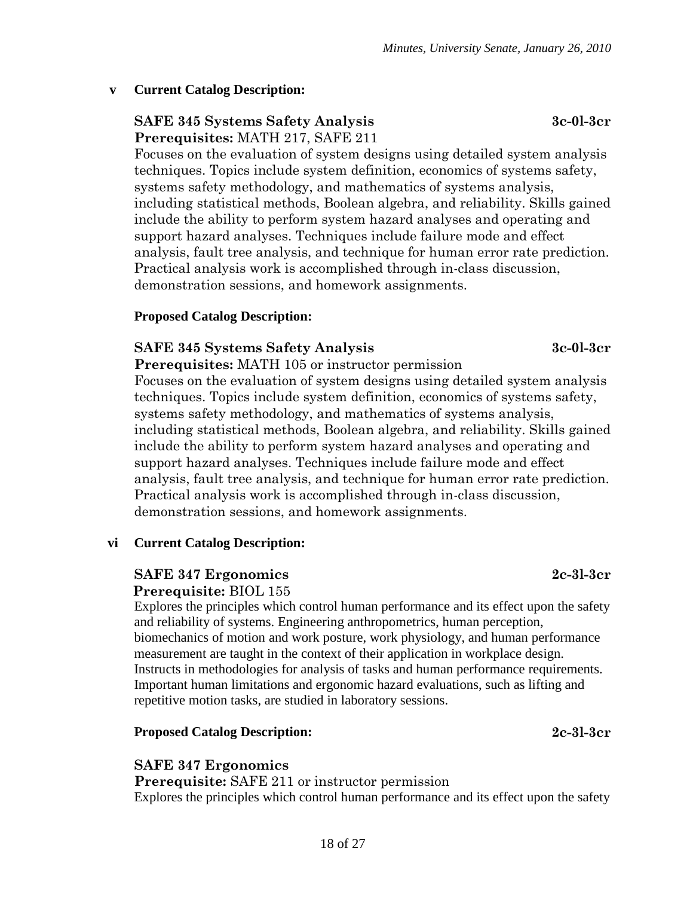#### **v Current Catalog Description:**

# **SAFE 345 Systems Safety Analysis 3c-0l-3cr Prerequisites:** MATH 217, SAFE 211

Focuses on the evaluation of system designs using detailed system analysis techniques. Topics include system definition, economics of systems safety, systems safety methodology, and mathematics of systems analysis, including statistical methods, Boolean algebra, and reliability. Skills gained include the ability to perform system hazard analyses and operating and support hazard analyses. Techniques include failure mode and effect analysis, fault tree analysis, and technique for human error rate prediction. Practical analysis work is accomplished through in-class discussion, demonstration sessions, and homework assignments.

#### **Proposed Catalog Description:**

#### **SAFE 345 Systems Safety Analysis 3c-0l-3cr**

**Prerequisites:** MATH 105 or instructor permission Focuses on the evaluation of system designs using detailed system analysis techniques. Topics include system definition, economics of systems safety, systems safety methodology, and mathematics of systems analysis, including statistical methods, Boolean algebra, and reliability. Skills gained include the ability to perform system hazard analyses and operating and support hazard analyses. Techniques include failure mode and effect analysis, fault tree analysis, and technique for human error rate prediction. Practical analysis work is accomplished through in-class discussion, demonstration sessions, and homework assignments.

#### **vi Current Catalog Description:**

# **SAFE 347 Ergonomics 2c-3l-3cr**

#### **Prerequisite:** BIOL 155

Explores the principles which control human performance and its effect upon the safety and reliability of systems. Engineering anthropometrics, human perception, biomechanics of motion and work posture, work physiology, and human performance measurement are taught in the context of their application in workplace design. Instructs in methodologies for analysis of tasks and human performance requirements. Important human limitations and ergonomic hazard evaluations, such as lifting and repetitive motion tasks, are studied in laboratory sessions.

#### **Proposed Catalog Description: 2c-3l-3cr**

#### **SAFE 347 Ergonomics**

**Prerequisite:** SAFE 211 or instructor permission Explores the principles which control human performance and its effect upon the safety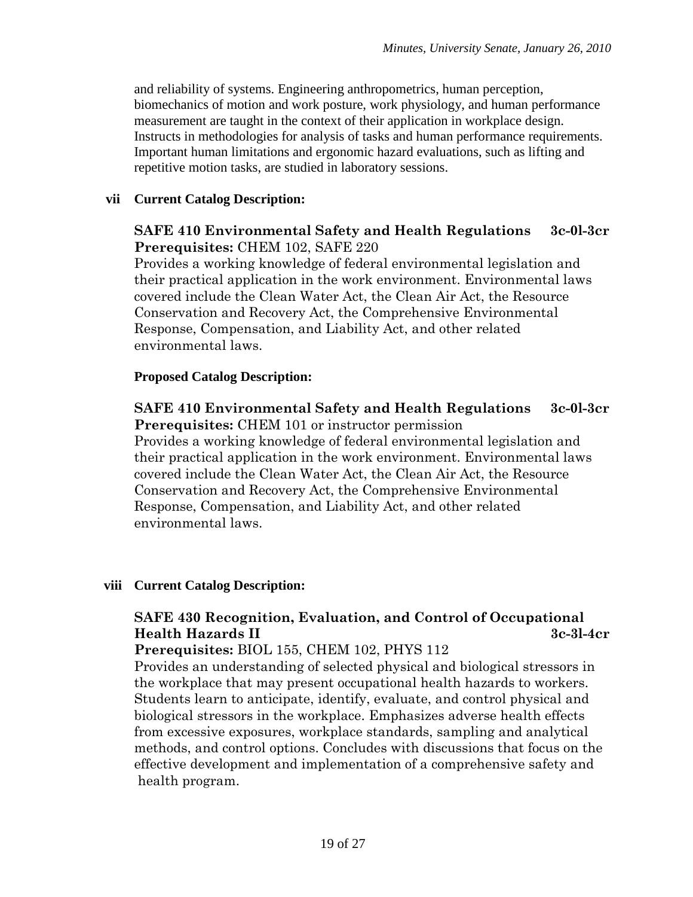and reliability of systems. Engineering anthropometrics, human perception, biomechanics of motion and work posture, work physiology, and human performance measurement are taught in the context of their application in workplace design. Instructs in methodologies for analysis of tasks and human performance requirements. Important human limitations and ergonomic hazard evaluations, such as lifting and repetitive motion tasks, are studied in laboratory sessions.

#### **vii Current Catalog Description:**

### **SAFE 410 Environmental Safety and Health Regulations 3c-0l-3cr Prerequisites:** CHEM 102, SAFE 220

Provides a working knowledge of federal environmental legislation and their practical application in the work environment. Environmental laws covered include the Clean Water Act, the Clean Air Act, the Resource Conservation and Recovery Act, the Comprehensive Environmental Response, Compensation, and Liability Act, and other related environmental laws.

### **Proposed Catalog Description:**

### **SAFE 410 Environmental Safety and Health Regulations 3c-0l-3cr Prerequisites:** CHEM 101 or instructor permission

Provides a working knowledge of federal environmental legislation and their practical application in the work environment. Environmental laws covered include the Clean Water Act, the Clean Air Act, the Resource Conservation and Recovery Act, the Comprehensive Environmental Response, Compensation, and Liability Act, and other related environmental laws.

#### **viii Current Catalog Description:**

# **SAFE 430 Recognition, Evaluation, and Control of Occupational Health Hazards II 3c-3l-4cr**

#### **Prerequisites:** BIOL 155, CHEM 102, PHYS 112

Provides an understanding of selected physical and biological stressors in the workplace that may present occupational health hazards to workers. Students learn to anticipate, identify, evaluate, and control physical and biological stressors in the workplace. Emphasizes adverse health effects from excessive exposures, workplace standards, sampling and analytical methods, and control options. Concludes with discussions that focus on the effective development and implementation of a comprehensive safety and health program.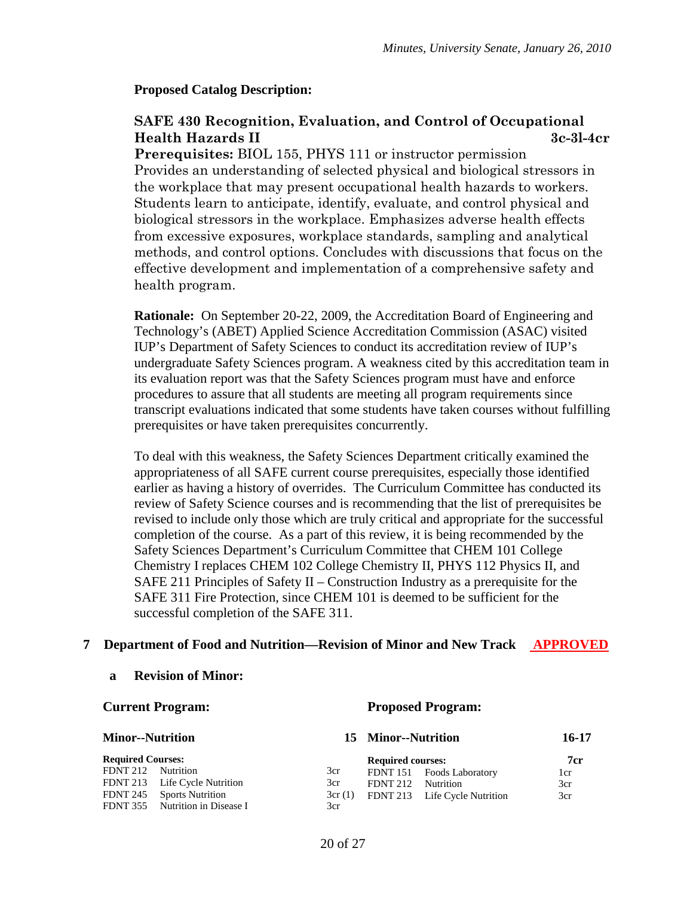#### **Proposed Catalog Description:**

# **SAFE 430 Recognition, Evaluation, and Control of Occupational Health Hazards II 3c-3l-4cr**

**Prerequisites:** BIOL 155, PHYS 111 or instructor permission Provides an understanding of selected physical and biological stressors in the workplace that may present occupational health hazards to workers. Students learn to anticipate, identify, evaluate, and control physical and biological stressors in the workplace. Emphasizes adverse health effects from excessive exposures, workplace standards, sampling and analytical methods, and control options. Concludes with discussions that focus on the effective development and implementation of a comprehensive safety and health program.

**Rationale:** On September 20-22, 2009, the Accreditation Board of Engineering and Technology's (ABET) Applied Science Accreditation Commission (ASAC) visited IUP's Department of Safety Sciences to conduct its accreditation review of IUP's undergraduate Safety Sciences program. A weakness cited by this accreditation team in its evaluation report was that the Safety Sciences program must have and enforce procedures to assure that all students are meeting all program requirements since transcript evaluations indicated that some students have taken courses without fulfilling prerequisites or have taken prerequisites concurrently.

To deal with this weakness, the Safety Sciences Department critically examined the appropriateness of all SAFE current course prerequisites, especially those identified earlier as having a history of overrides. The Curriculum Committee has conducted its review of Safety Science courses and is recommending that the list of prerequisites be revised to include only those which are truly critical and appropriate for the successful completion of the course. As a part of this review, it is being recommended by the Safety Sciences Department's Curriculum Committee that CHEM 101 College Chemistry I replaces CHEM 102 College Chemistry II, PHYS 112 Physics II, and SAFE 211 Principles of Safety II – Construction Industry as a prerequisite for the SAFE 311 Fire Protection, since CHEM 101 is deemed to be sufficient for the successful completion of the SAFE 311.

#### **7 Department of Food and Nutrition—Revision of Minor and New Track APPROVED**

#### **a Revision of Minor:**

#### **Current Program:**

#### **Proposed Program:**

| <b>Minor--Nutrition</b>  |                                                            | 15 Minor--Nutrition | 16-17                    |                               |     |
|--------------------------|------------------------------------------------------------|---------------------|--------------------------|-------------------------------|-----|
| <b>Required Courses:</b> |                                                            |                     | <b>Required courses:</b> |                               | 7cr |
| <b>FDNT 212</b>          | Nutrition                                                  | 3cr                 |                          | FDNT 151 Foods Laboratory     | 1cr |
|                          | FDNT 213 Life Cycle Nutrition                              | 3cr                 | FDNT 212 Nutrition       |                               | 3cr |
| FDNT 245                 | <b>Sports Nutrition</b><br>FDNT 355 Nutrition in Disease I | 3cr(1)<br>3cr       |                          | FDNT 213 Life Cycle Nutrition | 3cr |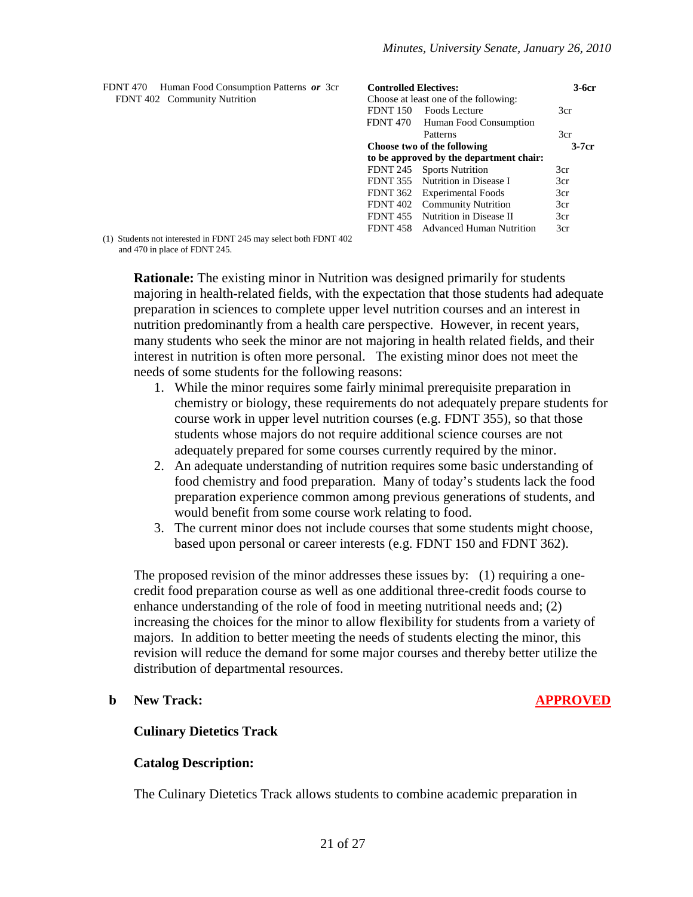| FDNT 470<br>Human Food Consumption Patterns or 3cr | <b>Controlled Electives:</b>            |         |
|----------------------------------------------------|-----------------------------------------|---------|
| FDNT 402 Community Nutrition                       | Choose at least one of the following:   |         |
|                                                    | FDNT 150 Foods Lecture                  | 3cr     |
|                                                    | FDNT 470 Human Food Consumption         |         |
|                                                    | Patterns                                | 3cr     |
|                                                    | Choose two of the following             | $3-7cr$ |
|                                                    | to be approved by the department chair: |         |
|                                                    | FDNT 245 Sports Nutrition               | 3cr     |
|                                                    | FDNT 355 Nutrition in Disease I         | 3cr     |
|                                                    | FDNT 362 Experimental Foods             | 3cr     |
|                                                    | FDNT 402 Community Nutrition            | 3cr     |
|                                                    | FDNT 455 Nutrition in Disease II        | 3cr     |
|                                                    | FDNT 458 Advanced Human Nutrition       | 3cr     |
|                                                    |                                         |         |

(1) Students not interested in FDNT 245 may select both FDNT 402 and 470 in place of FDNT 245.

> **Rationale:** The existing minor in Nutrition was designed primarily for students majoring in health-related fields, with the expectation that those students had adequate preparation in sciences to complete upper level nutrition courses and an interest in nutrition predominantly from a health care perspective. However, in recent years, many students who seek the minor are not majoring in health related fields, and their interest in nutrition is often more personal. The existing minor does not meet the needs of some students for the following reasons:

- 1. While the minor requires some fairly minimal prerequisite preparation in chemistry or biology, these requirements do not adequately prepare students for course work in upper level nutrition courses (e.g. FDNT 355), so that those students whose majors do not require additional science courses are not adequately prepared for some courses currently required by the minor.
- 2. An adequate understanding of nutrition requires some basic understanding of food chemistry and food preparation. Many of today's students lack the food preparation experience common among previous generations of students, and would benefit from some course work relating to food.
- 3. The current minor does not include courses that some students might choose, based upon personal or career interests (e.g. FDNT 150 and FDNT 362).

The proposed revision of the minor addresses these issues by: (1) requiring a onecredit food preparation course as well as one additional three-credit foods course to enhance understanding of the role of food in meeting nutritional needs and; (2) increasing the choices for the minor to allow flexibility for students from a variety of majors. In addition to better meeting the needs of students electing the minor, this revision will reduce the demand for some major courses and thereby better utilize the distribution of departmental resources.

#### **b New Track: APPROVED**

#### **Culinary Dietetics Track**

#### **Catalog Description:**

The Culinary Dietetics Track allows students to combine academic preparation in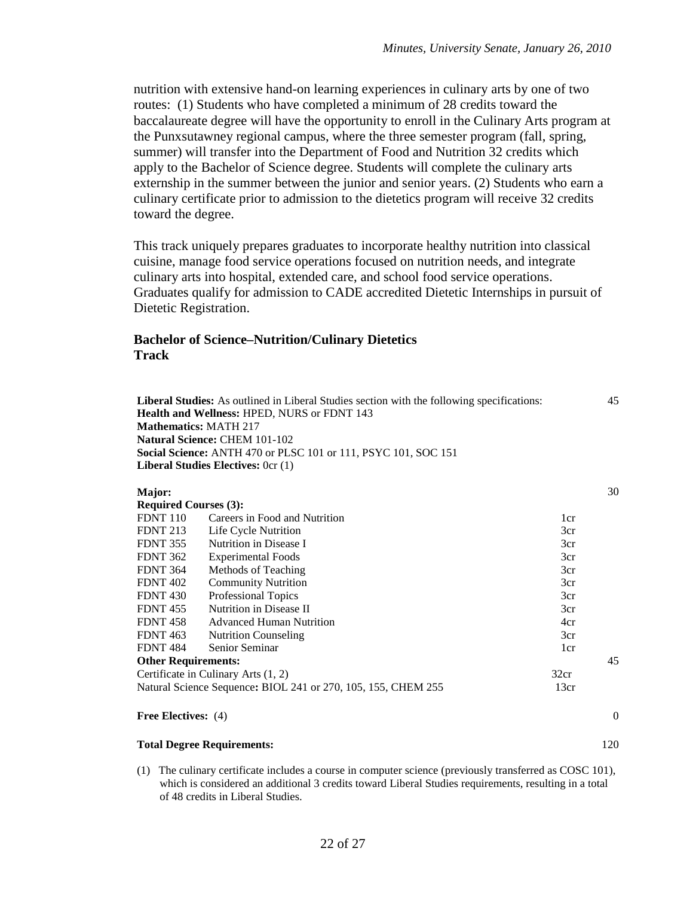nutrition with extensive hand-on learning experiences in culinary arts by one of two routes: (1) Students who have completed a minimum of 28 credits toward the baccalaureate degree will have the opportunity to enroll in the Culinary Arts program at the Punxsutawney regional campus, where the three semester program (fall, spring, summer) will transfer into the Department of Food and Nutrition 32 credits which apply to the Bachelor of Science degree. Students will complete the culinary arts externship in the summer between the junior and senior years. (2) Students who earn a culinary certificate prior to admission to the dietetics program will receive 32 credits toward the degree.

This track uniquely prepares graduates to incorporate healthy nutrition into classical cuisine, manage food service operations focused on nutrition needs, and integrate culinary arts into hospital, extended care, and school food service operations. Graduates qualify for admission to CADE accredited Dietetic Internships in pursuit of Dietetic Registration.

#### **Bachelor of Science–Nutrition/Culinary Dietetics Track**

| <b>Mathematics: MATH 217</b> | Liberal Studies: As outlined in Liberal Studies section with the following specifications:<br><b>Health and Wellness: HPED, NURS or FDNT 143</b><br><b>Natural Science: CHEM 101-102</b><br>Social Science: ANTH 470 or PLSC 101 or 111, PSYC 101, SOC 151<br>Liberal Studies Electives: 0cr (1) |                                          | 45       |  |
|------------------------------|--------------------------------------------------------------------------------------------------------------------------------------------------------------------------------------------------------------------------------------------------------------------------------------------------|------------------------------------------|----------|--|
| Major:                       |                                                                                                                                                                                                                                                                                                  |                                          | 30       |  |
| <b>Required Courses (3):</b> |                                                                                                                                                                                                                                                                                                  |                                          |          |  |
| <b>FDNT 110</b>              | Careers in Food and Nutrition                                                                                                                                                                                                                                                                    | 1cr                                      |          |  |
| <b>FDNT 213</b>              | Life Cycle Nutrition                                                                                                                                                                                                                                                                             | 3cr                                      |          |  |
| FDNT 355                     | Nutrition in Disease I                                                                                                                                                                                                                                                                           | 3cr                                      |          |  |
| <b>FDNT 362</b>              | <b>Experimental Foods</b>                                                                                                                                                                                                                                                                        | 3cr                                      |          |  |
| <b>FDNT 364</b>              | Methods of Teaching                                                                                                                                                                                                                                                                              | 3cr                                      |          |  |
| <b>FDNT 402</b>              | <b>Community Nutrition</b>                                                                                                                                                                                                                                                                       | 3cr                                      |          |  |
| <b>FDNT 430</b>              | Professional Topics                                                                                                                                                                                                                                                                              | 3cr                                      |          |  |
| <b>FDNT 455</b>              | Nutrition in Disease II                                                                                                                                                                                                                                                                          | 3cr                                      |          |  |
| <b>FDNT 458</b>              | <b>Advanced Human Nutrition</b>                                                                                                                                                                                                                                                                  | 4cr                                      |          |  |
| <b>FDNT 463</b>              | <b>Nutrition Counseling</b>                                                                                                                                                                                                                                                                      | 3cr                                      |          |  |
| <b>FDNT 484</b>              | Senior Seminar                                                                                                                                                                                                                                                                                   | 1 <sub>cr</sub>                          |          |  |
| <b>Other Requirements:</b>   |                                                                                                                                                                                                                                                                                                  |                                          | 45       |  |
|                              | Certificate in Culinary Arts (1, 2)                                                                                                                                                                                                                                                              | 32cr                                     |          |  |
|                              | Natural Science Sequence: BIOL 241 or 270, 105, 155, CHEM 255                                                                                                                                                                                                                                    | 13cr                                     |          |  |
| <b>Free Electives:</b> (4)   |                                                                                                                                                                                                                                                                                                  |                                          | $\Omega$ |  |
|                              |                                                                                                                                                                                                                                                                                                  | 120<br><b>Total Degree Requirements:</b> |          |  |

(1) The culinary certificate includes a course in computer science (previously transferred as COSC 101), which is considered an additional 3 credits toward Liberal Studies requirements, resulting in a total of 48 credits in Liberal Studies.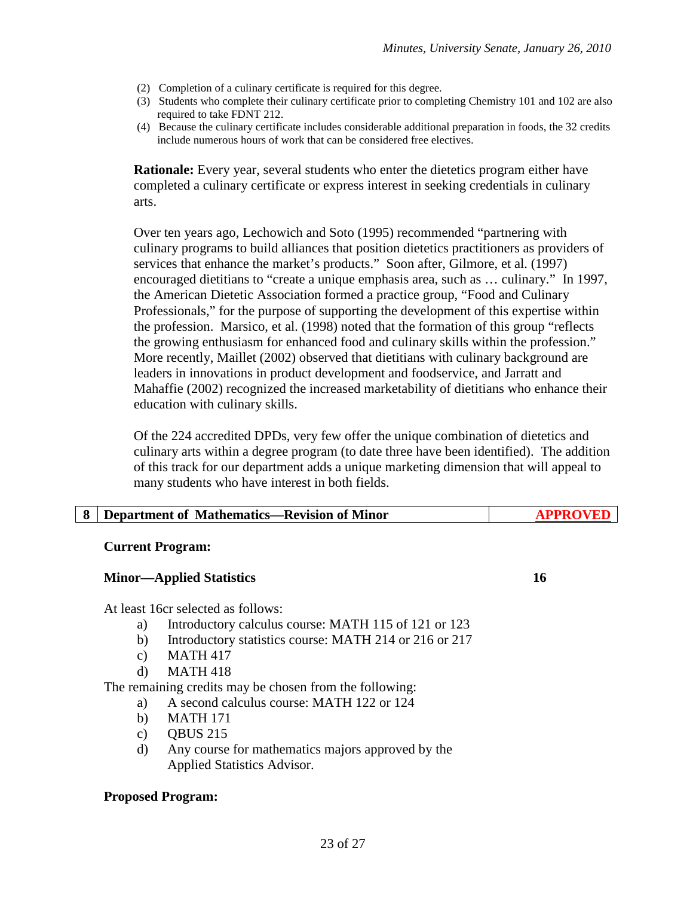- (2) Completion of a culinary certificate is required for this degree.
- (3) Students who complete their culinary certificate prior to completing Chemistry 101 and 102 are also required to take FDNT 212.
- (4) Because the culinary certificate includes considerable additional preparation in foods, the 32 credits include numerous hours of work that can be considered free electives.

**Rationale:** Every year, several students who enter the dietetics program either have completed a culinary certificate or express interest in seeking credentials in culinary arts.

Over ten years ago, Lechowich and Soto (1995) recommended "partnering with culinary programs to build alliances that position dietetics practitioners as providers of services that enhance the market's products." Soon after, Gilmore, et al. (1997) encouraged dietitians to "create a unique emphasis area, such as … culinary." In 1997, the American Dietetic Association formed a practice group, "Food and Culinary Professionals," for the purpose of supporting the development of this expertise within the profession. Marsico, et al. (1998) noted that the formation of this group "reflects the growing enthusiasm for enhanced food and culinary skills within the profession." More recently, Maillet (2002) observed that dietitians with culinary background are leaders in innovations in product development and foodservice, and Jarratt and Mahaffie (2002) recognized the increased marketability of dietitians who enhance their education with culinary skills.

Of the 224 accredited DPDs, very few offer the unique combination of dietetics and culinary arts within a degree program (to date three have been identified). The addition of this track for our department adds a unique marketing dimension that will appeal to many students who have interest in both fields.

| Department of Mathematics—Revision of Minor |  |
|---------------------------------------------|--|
|---------------------------------------------|--|

#### **Current Program:**

#### **Minor—Applied Statistics 16**

At least 16cr selected as follows:

- a) Introductory calculus course: MATH 115 of 121 or 123
- b) Introductory statistics course: MATH 214 or 216 or 217
- c) MATH 417
- d) MATH 418

The remaining credits may be chosen from the following:

- a) A second calculus course: MATH 122 or 124
	- b) MATH 171
	- c) QBUS 215
	- d) Any course for mathematics majors approved by the Applied Statistics Advisor.

#### **Proposed Program:**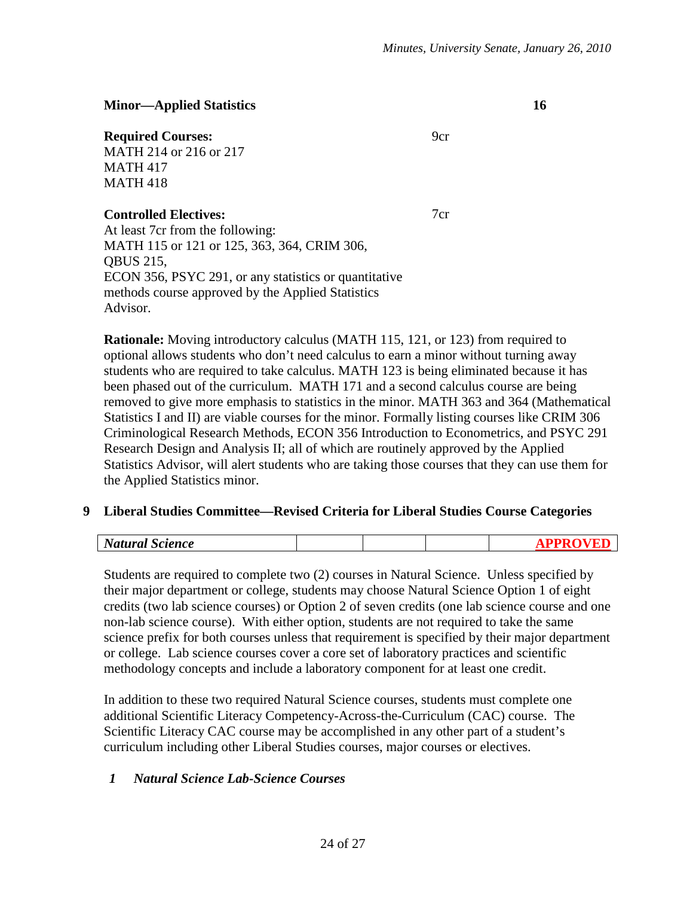#### **Minor—Applied Statistics 16**

#### **Required Courses:** 9cr

MATH 214 or 216 or 217 MATH 417 MATH 418

#### **Controlled Electives:** 7cr

At least 7cr from the following: MATH 115 or 121 or 125, 363, 364, CRIM 306, QBUS 215, ECON 356, PSYC 291, or any statistics or quantitative methods course approved by the Applied Statistics Advisor.

**Rationale:** Moving introductory calculus (MATH 115, 121, or 123) from required to optional allows students who don't need calculus to earn a minor without turning away students who are required to take calculus. MATH 123 is being eliminated because it has been phased out of the curriculum. MATH 171 and a second calculus course are being removed to give more emphasis to statistics in the minor. MATH 363 and 364 (Mathematical Statistics I and II) are viable courses for the minor. Formally listing courses like CRIM 306 Criminological Research Methods, ECON 356 Introduction to Econometrics, and PSYC 291 Research Design and Analysis II; all of which are routinely approved by the Applied Statistics Advisor, will alert students who are taking those courses that they can use them for the Applied Statistics minor.

#### **9 Liberal Studies Committee—Revised Criteria for Liberal Studies Course Categories**

| $\sim$<br>$\mathbf{N}_{L}$<br>cience<br>.<br>.,,,,,,,, |  |  |
|--------------------------------------------------------|--|--|
|                                                        |  |  |

Students are required to complete two (2) courses in Natural Science. Unless specified by their major department or college, students may choose Natural Science Option 1 of eight credits (two lab science courses) or Option 2 of seven credits (one lab science course and one non-lab science course). With either option, students are not required to take the same science prefix for both courses unless that requirement is specified by their major department or college. Lab science courses cover a core set of laboratory practices and scientific methodology concepts and include a laboratory component for at least one credit.

In addition to these two required Natural Science courses, students must complete one additional Scientific Literacy Competency-Across-the-Curriculum (CAC) course. The Scientific Literacy CAC course may be accomplished in any other part of a student's curriculum including other Liberal Studies courses, major courses or electives.

# *1 Natural Science Lab-Science Courses*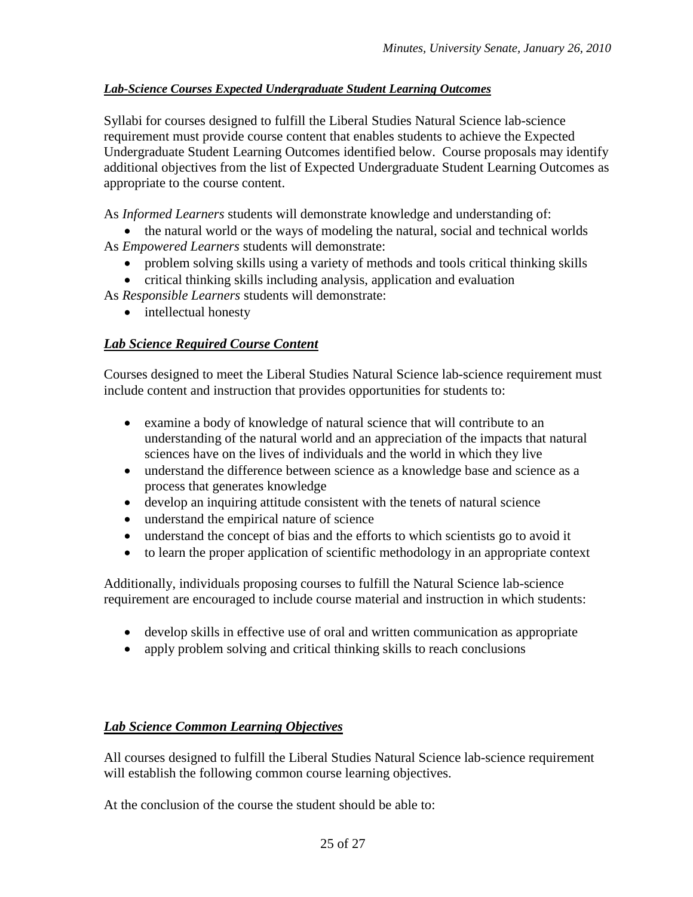### *Lab-Science Courses Expected Undergraduate Student Learning Outcomes*

Syllabi for courses designed to fulfill the Liberal Studies Natural Science lab-science requirement must provide course content that enables students to achieve the Expected Undergraduate Student Learning Outcomes identified below. Course proposals may identify additional objectives from the list of Expected Undergraduate Student Learning Outcomes as appropriate to the course content.

As *Informed Learners* students will demonstrate knowledge and understanding of:

- the natural world or the ways of modeling the natural, social and technical worlds As *Empowered Learners* students will demonstrate:
	- problem solving skills using a variety of methods and tools critical thinking skills
	- critical thinking skills including analysis, application and evaluation
- As *Responsible Learners* students will demonstrate:
	- intellectual honesty

# *Lab Science Required Course Content*

Courses designed to meet the Liberal Studies Natural Science lab-science requirement must include content and instruction that provides opportunities for students to:

- examine a body of knowledge of natural science that will contribute to an understanding of the natural world and an appreciation of the impacts that natural sciences have on the lives of individuals and the world in which they live
- understand the difference between science as a knowledge base and science as a process that generates knowledge
- develop an inquiring attitude consistent with the tenets of natural science
- understand the empirical nature of science
- understand the concept of bias and the efforts to which scientists go to avoid it
- to learn the proper application of scientific methodology in an appropriate context

Additionally, individuals proposing courses to fulfill the Natural Science lab-science requirement are encouraged to include course material and instruction in which students:

- develop skills in effective use of oral and written communication as appropriate
- apply problem solving and critical thinking skills to reach conclusions

# *Lab Science Common Learning Objectives*

All courses designed to fulfill the Liberal Studies Natural Science lab-science requirement will establish the following common course learning objectives.

At the conclusion of the course the student should be able to: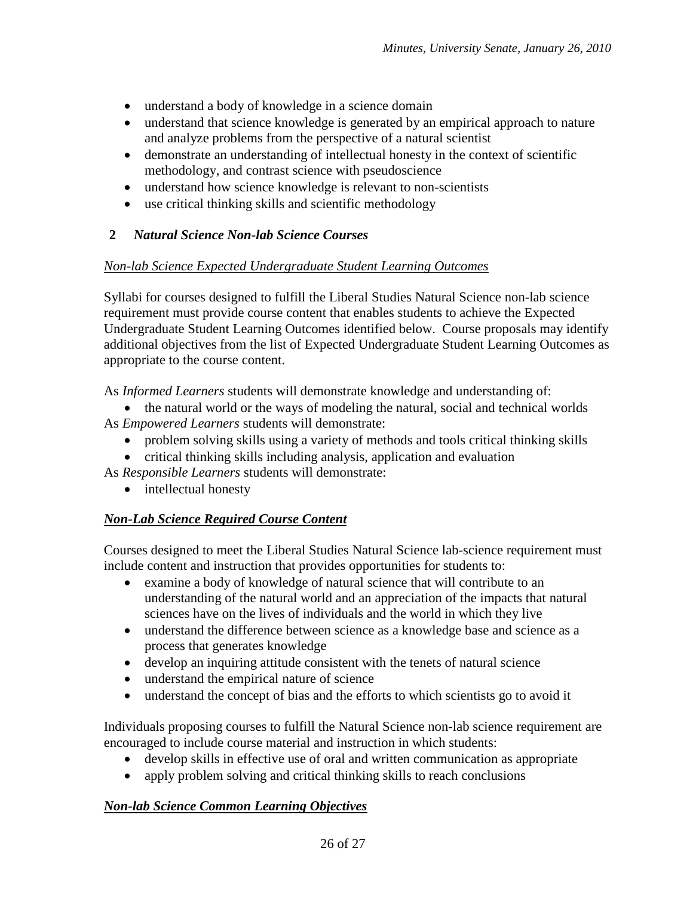- understand a body of knowledge in a science domain
- understand that science knowledge is generated by an empirical approach to nature and analyze problems from the perspective of a natural scientist
- demonstrate an understanding of intellectual honesty in the context of scientific methodology, and contrast science with pseudoscience
- understand how science knowledge is relevant to non-scientists
- use critical thinking skills and scientific methodology

# **2** *Natural Science Non-lab Science Courses*

#### *Non-lab Science Expected Undergraduate Student Learning Outcomes*

Syllabi for courses designed to fulfill the Liberal Studies Natural Science non-lab science requirement must provide course content that enables students to achieve the Expected Undergraduate Student Learning Outcomes identified below. Course proposals may identify additional objectives from the list of Expected Undergraduate Student Learning Outcomes as appropriate to the course content.

As *Informed Learners* students will demonstrate knowledge and understanding of:

• the natural world or the ways of modeling the natural, social and technical worlds As *Empowered Learners* students will demonstrate:

- problem solving skills using a variety of methods and tools critical thinking skills
- critical thinking skills including analysis, application and evaluation

As *Responsible Learners* students will demonstrate:

• intellectual honesty

# *Non-Lab Science Required Course Content*

Courses designed to meet the Liberal Studies Natural Science lab-science requirement must include content and instruction that provides opportunities for students to:

- examine a body of knowledge of natural science that will contribute to an understanding of the natural world and an appreciation of the impacts that natural sciences have on the lives of individuals and the world in which they live
- understand the difference between science as a knowledge base and science as a process that generates knowledge
- develop an inquiring attitude consistent with the tenets of natural science
- understand the empirical nature of science
- understand the concept of bias and the efforts to which scientists go to avoid it

Individuals proposing courses to fulfill the Natural Science non-lab science requirement are encouraged to include course material and instruction in which students:

- develop skills in effective use of oral and written communication as appropriate
- apply problem solving and critical thinking skills to reach conclusions

# *Non-lab Science Common Learning Objectives*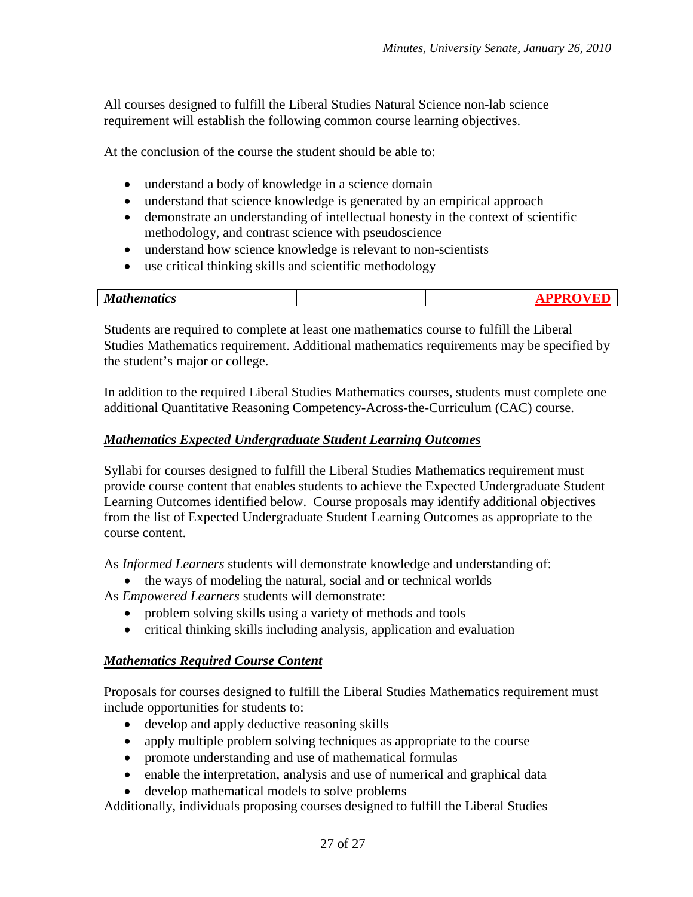All courses designed to fulfill the Liberal Studies Natural Science non-lab science requirement will establish the following common course learning objectives.

At the conclusion of the course the student should be able to:

- understand a body of knowledge in a science domain
- understand that science knowledge is generated by an empirical approach
- demonstrate an understanding of intellectual honesty in the context of scientific methodology, and contrast science with pseudoscience
- understand how science knowledge is relevant to non-scientists
- use critical thinking skills and scientific methodology

| M<br>--<br>'uus<br>.<br>---- |  |  |
|------------------------------|--|--|
|                              |  |  |

Students are required to complete at least one mathematics course to fulfill the Liberal Studies Mathematics requirement. Additional mathematics requirements may be specified by the student's major or college.

In addition to the required Liberal Studies Mathematics courses, students must complete one additional Quantitative Reasoning Competency-Across-the-Curriculum (CAC) course.

#### *Mathematics Expected Undergraduate Student Learning Outcomes*

Syllabi for courses designed to fulfill the Liberal Studies Mathematics requirement must provide course content that enables students to achieve the Expected Undergraduate Student Learning Outcomes identified below. Course proposals may identify additional objectives from the list of Expected Undergraduate Student Learning Outcomes as appropriate to the course content.

As *Informed Learners* students will demonstrate knowledge and understanding of:

• the ways of modeling the natural, social and or technical worlds

As *Empowered Learners* students will demonstrate:

- problem solving skills using a variety of methods and tools
- critical thinking skills including analysis, application and evaluation

#### *Mathematics Required Course Content*

Proposals for courses designed to fulfill the Liberal Studies Mathematics requirement must include opportunities for students to:

- develop and apply deductive reasoning skills
- apply multiple problem solving techniques as appropriate to the course
- promote understanding and use of mathematical formulas
- enable the interpretation, analysis and use of numerical and graphical data
- develop mathematical models to solve problems

Additionally, individuals proposing courses designed to fulfill the Liberal Studies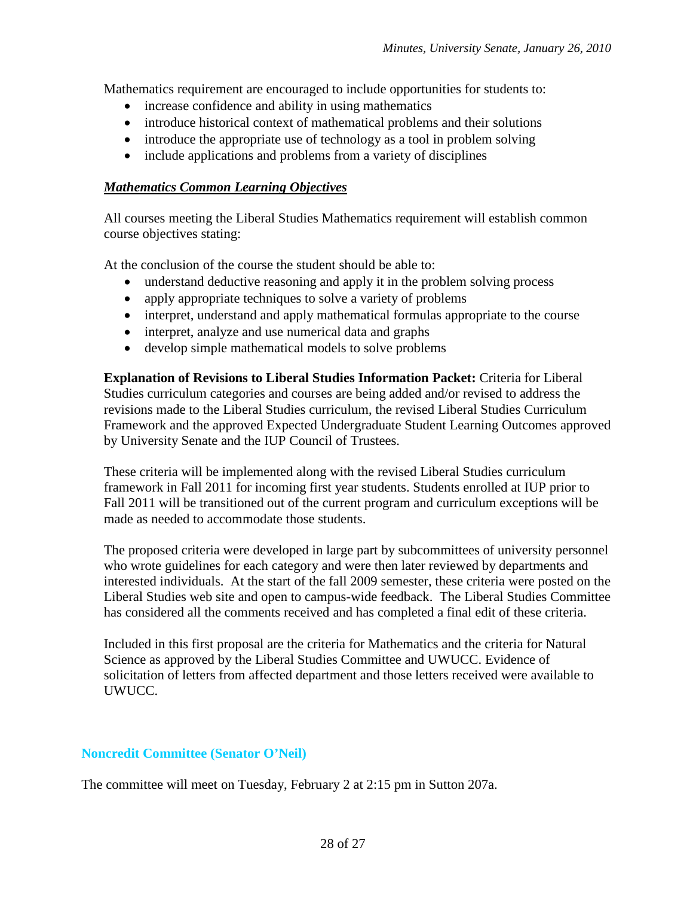Mathematics requirement are encouraged to include opportunities for students to:

- increase confidence and ability in using mathematics
- introduce historical context of mathematical problems and their solutions
- introduce the appropriate use of technology as a tool in problem solving
- include applications and problems from a variety of disciplines

#### *Mathematics Common Learning Objectives*

All courses meeting the Liberal Studies Mathematics requirement will establish common course objectives stating:

At the conclusion of the course the student should be able to:

- understand deductive reasoning and apply it in the problem solving process
- apply appropriate techniques to solve a variety of problems
- interpret, understand and apply mathematical formulas appropriate to the course
- interpret, analyze and use numerical data and graphs
- develop simple mathematical models to solve problems

**Explanation of Revisions to Liberal Studies Information Packet:** Criteria for Liberal Studies curriculum categories and courses are being added and/or revised to address the revisions made to the Liberal Studies curriculum, the revised Liberal Studies Curriculum Framework and the approved Expected Undergraduate Student Learning Outcomes approved by University Senate and the IUP Council of Trustees.

These criteria will be implemented along with the revised Liberal Studies curriculum framework in Fall 2011 for incoming first year students. Students enrolled at IUP prior to Fall 2011 will be transitioned out of the current program and curriculum exceptions will be made as needed to accommodate those students.

The proposed criteria were developed in large part by subcommittees of university personnel who wrote guidelines for each category and were then later reviewed by departments and interested individuals. At the start of the fall 2009 semester, these criteria were posted on the Liberal Studies web site and open to campus-wide feedback. The Liberal Studies Committee has considered all the comments received and has completed a final edit of these criteria.

Included in this first proposal are the criteria for Mathematics and the criteria for Natural Science as approved by the Liberal Studies Committee and UWUCC. Evidence of solicitation of letters from affected department and those letters received were available to UWUCC.

#### **Noncredit Committee (Senator O'Neil)**

The committee will meet on Tuesday, February 2 at 2:15 pm in Sutton 207a.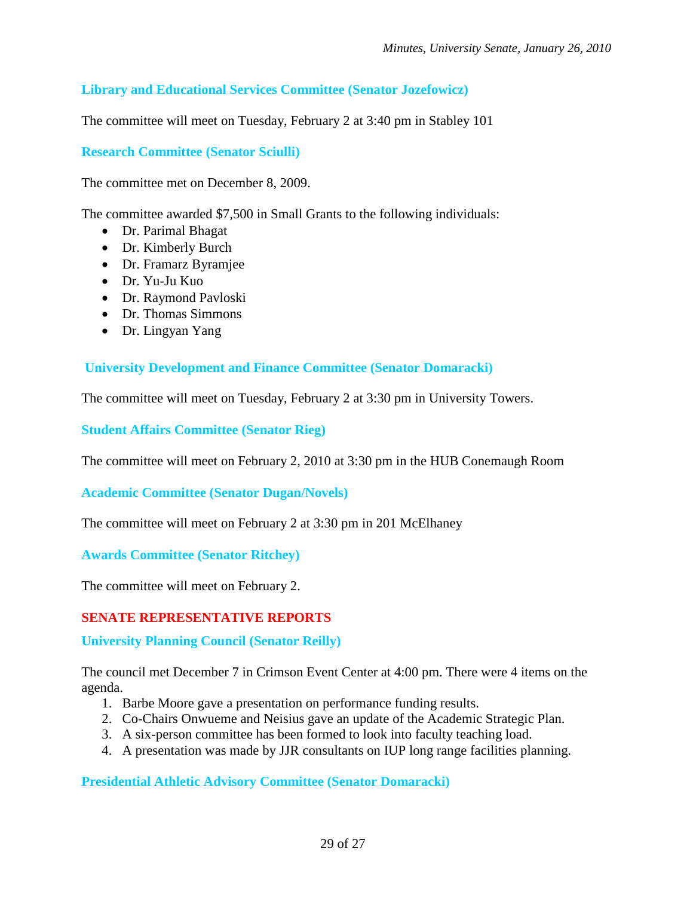# **Library and Educational Services Committee (Senator Jozefowicz)**

The committee will meet on Tuesday, February 2 at 3:40 pm in Stabley 101

### **Research Committee (Senator Sciulli)**

The committee met on December 8, 2009.

The committee awarded \$7,500 in Small Grants to the following individuals:

- Dr. Parimal Bhagat
- Dr. Kimberly Burch
- Dr. Framarz Byramjee
- Dr. Yu-Ju Kuo
- Dr. Raymond Pavloski
- Dr. Thomas Simmons
- Dr. Lingyan Yang

### **University Development and Finance Committee (Senator Domaracki)**

The committee will meet on Tuesday, February 2 at 3:30 pm in University Towers.

**Student Affairs Committee (Senator Rieg)**

The committee will meet on February 2, 2010 at 3:30 pm in the HUB Conemaugh Room

**Academic Committee (Senator Dugan/Novels)**

The committee will meet on February 2 at 3:30 pm in 201 McElhaney

**Awards Committee (Senator Ritchey)**

The committee will meet on February 2.

# **SENATE REPRESENTATIVE REPORTS**

**University Planning Council (Senator Reilly)**

The council met December 7 in Crimson Event Center at 4:00 pm. There were 4 items on the agenda.

- 1. Barbe Moore gave a presentation on performance funding results.
- 2. Co-Chairs Onwueme and Neisius gave an update of the Academic Strategic Plan.
- 3. A six-person committee has been formed to look into faculty teaching load.
- 4. A presentation was made by JJR consultants on IUP long range facilities planning.

**Presidential Athletic Advisory Committee (Senator Domaracki)**